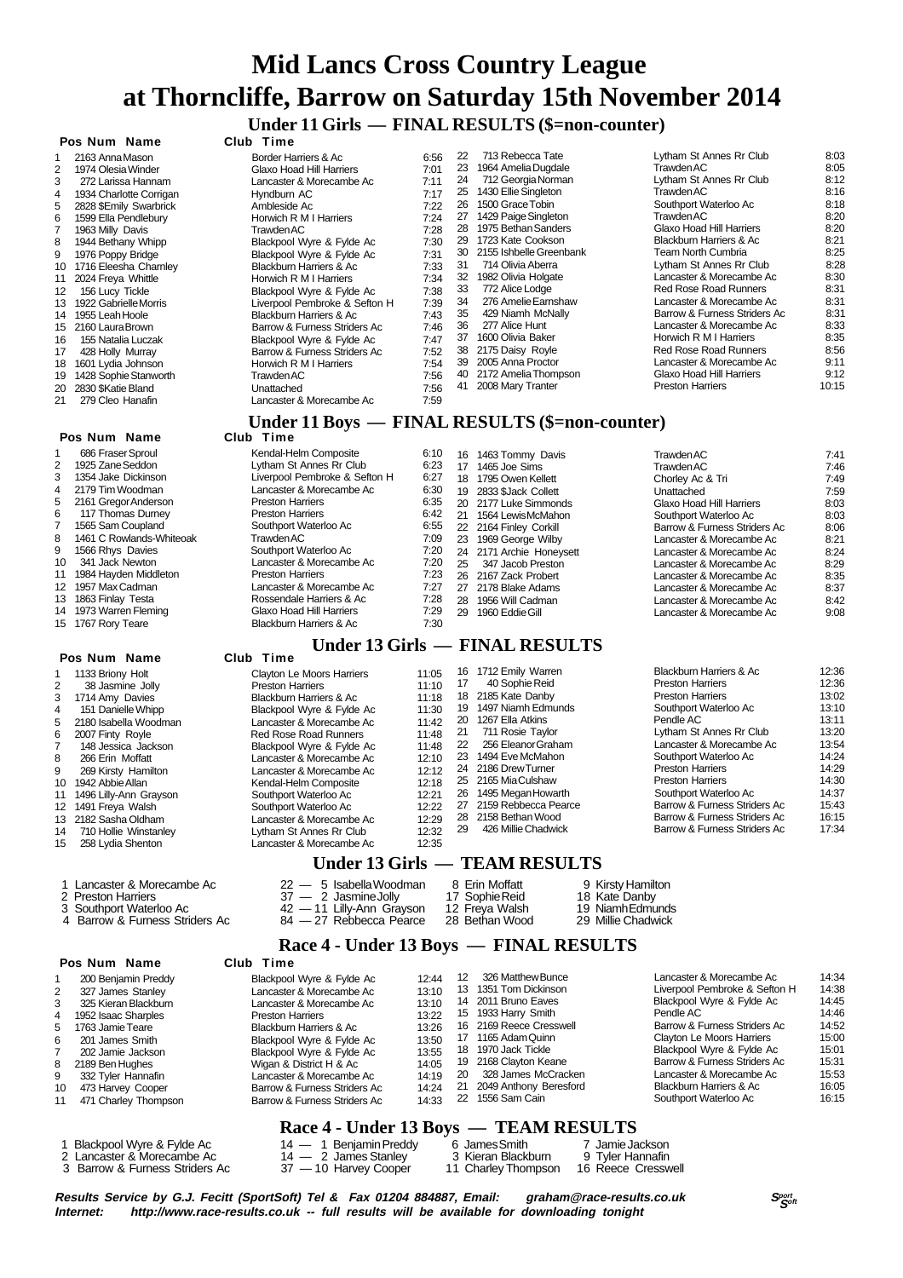**Under 11 Girls — FINAL RESULTS (\$=non-counter)**

|    | Pos Num Name            | Club Time                                      |      |                 |                         |                              |       |
|----|-------------------------|------------------------------------------------|------|-----------------|-------------------------|------------------------------|-------|
|    | 2163 Anna Mason         | Border Harriers & Ac                           | 6:56 | 22              | 713 Rebecca Tate        | Lytham St Annes Rr Club      | 8:03  |
| 2  | 1974 Olesia Winder      | Glaxo Hoad Hill Harriers                       | 7:01 | 23              | 1964 Amelia Dugdale     | TrawdenAC                    | 8:05  |
| 3  | 272 Larissa Hannam      | Lancaster & Morecambe Ac                       | 7:11 | 24              | 712 Georgia Norman      | Lytham St Annes Rr Club      | 8:12  |
| 4  | 1934 Charlotte Corrigan | Hyndburn AC                                    | 7:17 | 25              | 1430 Ellie Singleton    | Trawden AC                   | 8:16  |
| 5  | 2828 \$Emily Swarbrick  | Ambleside Ac                                   | 7:22 | 26              | 1500 Grace Tobin        | Southport Waterloo Ac        | 8:18  |
| 6  | 1599 Ella Pendlebury    | Horwich R M I Harriers                         | 7:24 | 27              | 1429 Paige Singleton    | Trawden AC                   | 8:20  |
|    | 1963 Milly Davis        | <b>Trawden AC</b>                              | 7:28 | 28              | 1975 Bethan Sanders     | Glaxo Hoad Hill Harriers     | 8:20  |
| 8  | 1944 Bethany Whipp      | Blackpool Wyre & Fylde Ac                      | 7:30 | 29              | 1723 Kate Cookson       | Blackburn Harriers & Ac      | 8:21  |
| 9  | 1976 Poppy Bridge       | Blackpool Wyre & Fylde Ac                      | 7:31 | 30              | 2155 Ishbelle Greenbank | Team North Cumbria           | 8:25  |
| 10 | 1716 Eleesha Charnley   | Blackburn Harriers & Ac                        | 7:33 | 31              | 714 Olivia Aberra       | Lytham St Annes Rr Club      | 8:28  |
| 11 | 2024 Freya Whittle      | Horwich R M I Harriers                         | 7:34 | 32              | 1982 Olivia Holgate     | Lancaster & Morecambe Ac     | 8:30  |
| 12 | 156 Lucy Tickle         | Blackpool Wyre & Fylde Ac                      | 7:38 | 33              | 772 Alice Lodge         | Red Rose Road Runners        | 8:31  |
| 13 | 1922 Gabrielle Morris   | Liverpool Pembroke & Sefton H                  | 7:39 | 34              | 276 Amelie Earnshaw     | Lancaster & Morecambe Ac     | 8:31  |
|    | 14 1955 Leah Hoole      | Blackburn Harriers & Ac                        | 7:43 | 35              | 429 Niamh McNally       | Barrow & Furness Striders Ac | 8:31  |
| 15 | 2160 Laura Brown        | Barrow & Furness Striders Ac                   | 7:46 | 36              | 277 Alice Hunt          | Lancaster & Morecambe Ac     | 8:33  |
| 16 | 155 Natalia Luczak      | Blackpool Wyre & Fylde Ac                      | 7:47 | 37              | 1600 Olivia Baker       | Horwich R M I Harriers       | 8:35  |
| 17 | 428 Holly Murray        | Barrow & Furness Striders Ac                   | 7:52 | 38              | 2175 Daisy Royle        | Red Rose Road Runners        | 8:56  |
| 18 | 1601 Lydia Johnson      | Horwich R M I Harriers                         | 7:54 | 39              | 2005 Anna Proctor       | Lancaster & Morecambe Ac     | 9:11  |
| 19 | 1428 Sophie Stanworth   | TrawdenAC                                      | 7:56 | 40              | 2172 Amelia Thompson    | Glaxo Hoad Hill Harriers     | 9:12  |
| 20 | 2830 \$Katie Bland      | Unattached                                     | 7:56 | 41              | 2008 Mary Tranter       | <b>Preston Harriers</b>      | 10:15 |
| 21 | 279 Cleo Hanafin        | Lancaster & Morecambe Ac                       | 7:59 |                 |                         |                              |       |
|    |                         | Under 11 Boys — FINAL RESULTS (\$=non-counter) |      |                 |                         |                              |       |
|    | Pos Num Name            | Club Time                                      |      |                 |                         |                              |       |
|    | 686 Fraser Sproul       | Kendal-Helm Composite                          | 6:10 | 16              | 1463 Tommy Davis        | Trawden AC                   | 7:41  |
|    | 1925 Zane Seddon        | Lytham St Annes Rr Club                        | 6:23 | 17 <sup>7</sup> | $1465$ $\log$ Sime      | Trawden AC                   | 7.46  |

 **Pos Num Name** 1 1133 Briony Holt  $\frac{1}{2}$  38 Jasmine Jo 38 Jasmine Jolly 3 1714 Amy Davies<br>4 151 Danielle Whire 4 151 Danielle Whipp<br>5 2180 Isabella Wood 2180 Isabella Woodman

| Lytham St Annes Rr Club      | 8:03  |
|------------------------------|-------|
| TrawdenAC                    | 8:05  |
| Lytham St Annes Rr Club      | 8:12  |
| Trawden AC                   | 8:16  |
| Southport Waterloo Ac        | 8:18  |
| Trawden AC                   | 8:20  |
| Glaxo Hoad Hill Harriers     | 8:20  |
| Blackburn Harriers & Ac      | 8:21  |
| Team North Cumbria           | 8:25  |
| Lytham St Annes Rr Club      | 8:28  |
| Lancaster & Morecambe Ac     | 8:30  |
| Red Rose Road Runners        | 8:31  |
| Lancaster & Morecambe Ac     | 8:31  |
| Barrow & Furness Striders Ac | 8:31  |
| Lancaster & Morecambe Ac     | 8:33  |
| Horwich R M I Harriers       | 8:35  |
| Red Rose Road Runners        | 8:56  |
| Lancaster & Morecambe Ac     | 9:11  |
| Glaxo Hoad Hill Harriers     | 9:12  |
| Preston Harriers             | 10.15 |

|    | 686 Fraser Sproul          | Kendal-Helm Composite         | 6:10 | 16 | 1463 Tommy Davis         | Trawden AC                   | 7:41 |
|----|----------------------------|-------------------------------|------|----|--------------------------|------------------------------|------|
|    | 2 1925 Zane Seddon         | Lytham St Annes Rr Club       | 6:23 | 17 | 1465 Joe Sims            | Trawden AC                   | 7:46 |
|    | 3 1354 Jake Dickinson      | Liverpool Pembroke & Sefton H | 6:27 | 18 | 1795 Owen Kellett        | Chorley Ac & Tri             | 7:49 |
|    | 4 2179 Tim Woodman         | Lancaster & Morecambe Ac      | 6:30 |    | 19 2833 \$Jack Collett   | Unattached                   | 7:59 |
|    | 5 2161 Gregor Anderson     | <b>Preston Harriers</b>       | 6:35 |    | 20 2177 Luke Simmonds    | Glaxo Hoad Hill Harriers     | 8:03 |
| 6. | 117 Thomas Durney          | <b>Preston Harriers</b>       | 6:42 | 21 | 1564 Lewis McMahon       | Southport Waterloo Ac        | 8:03 |
| 7  | 1565 Sam Coupland          | Southport Waterloo Ac         | 6:55 |    | 22 2164 Finley Corkill   | Barrow & Furness Striders Ac | 8:06 |
|    | 8 1461 C Rowlands-Whiteoak | Trawden AC                    | 7:09 |    | 23 1969 George Wilby     | Lancaster & Morecambe Ac     | 8:21 |
|    | 9 1566 Rhys Davies         | Southport Waterloo Ac         | 7:20 |    | 24 2171 Archie Honeysett | Lancaster & Morecambe Ac     | 8:24 |
| 10 | 341 Jack Newton            | Lancaster & Morecambe Ac      | 7:20 | 25 | 347 Jacob Preston        | Lancaster & Morecambe Ac     | 8:29 |
|    | 11 1984 Hayden Middleton   | <b>Preston Harriers</b>       | 7:23 |    | 26 2167 Zack Probert     | Lancaster & Morecambe Ac     | 8:35 |
|    | 12 1957 Max Cadman         | Lancaster & Morecambe Ac      | 7:27 |    | 27 2178 Blake Adams      | Lancaster & Morecambe Ac     | 8:37 |
|    | 13 1863 Finlay Testa       | Rossendale Harriers & Ac      | 7:28 | 28 | 1956 Will Cadman         | Lancaster & Morecambe Ac     | 8:42 |
|    | 14 1973 Warren Fleming     | Glaxo Hoad Hill Harriers      | 7:29 | 29 | 1960 Eddie Gill          | Lancaster & Morecambe Ac     | 9:08 |
|    | 15 1767 Rory Teare         | Blackburn Harriers & Ac       | 7:30 |    |                          |                              |      |

#### **Under 13 Girls — FINAL RESULTS**

|    | Pos Num Name              | Club Time                        |       |    |                      |                              |       |
|----|---------------------------|----------------------------------|-------|----|----------------------|------------------------------|-------|
|    | 1133 Briony Holt          | <b>Clayton Le Moors Harriers</b> | 11:05 | 16 | 1712 Emily Warren    | Blackburn Harriers & Ac      | 12:36 |
|    | 38 Jasmine Jolly          | <b>Preston Harriers</b>          | 11:10 | 17 | 40 Sophie Reid       | <b>Preston Harriers</b>      | 12:36 |
|    | 1714 Amy Davies           | Blackburn Harriers & Ac          | 11:18 |    | 18 2185 Kate Danby   | <b>Preston Harriers</b>      | 13:02 |
|    | 151 Danielle Whipp        | Blackpool Wyre & Fylde Ac        | 11:30 | 19 | 1497 Niamh Edmunds   | Southport Waterloo Ac        | 13:10 |
| 5. | 2180 Isabella Woodman     | Lancaster & Morecambe Ac         | 11:42 | 20 | 1267 Ella Atkins     | Pendle AC                    | 13:11 |
| 6. | 2007 Finty Royle          | <b>Red Rose Road Runners</b>     | 11:48 | 21 | 711 Rosie Taylor     | Lytham St Annes Rr Club      | 13:20 |
|    | 148 Jessica Jackson       | Blackpool Wyre & Fylde Ac        | 11:48 | 22 | 256 Eleanor Graham   | Lancaster & Morecambe Ac     | 13:54 |
| 8  | 266 Erin Moffatt          | Lancaster & Morecambe Ac         | 12:10 | 23 | 1494 Eve McMahon     | Southport Waterloo Ac        | 14:24 |
| 9  | 269 Kirsty Hamilton       | Lancaster & Morecambe Ac         | 12:12 |    | 24 2186 Drew Turner  | <b>Preston Harriers</b>      | 14:29 |
|    | 10 1942 Abbie Allan       | Kendal-Helm Composite            | 12:18 |    | 25 2165 MiaCulshaw   | <b>Preston Harriers</b>      | 14:30 |
|    | 11 1496 Lilly-Ann Grayson | Southport Waterloo Ac            | 12:21 | 26 | 1495 Megan Howarth   | Southport Waterloo Ac        | 14:37 |
|    | 12 1491 Freya Walsh       | Southport Waterloo Ac            | 12:22 | 27 | 2159 Rebbecca Pearce | Barrow & Furness Striders Ac | 15:43 |
|    | 13 2182 Sasha Oldham      | Lancaster & Morecambe Ac         | 12:29 | 28 | 2158 Bethan Wood     | Barrow & Furness Striders Ac | 16:15 |
| 14 | 710 Hollie Winstanley     | Lytham St Annes Rr Club          | 12:32 | 29 | 426 Millie Chadwick  | Barrow & Furness Striders Ac | 17:34 |
| 15 | 258 Lvdia Shenton         | Lancaster & Morecambe Ac         | 12:35 |    |                      |                              |       |

#### **Under 13 Girls — TEAM RESULTS**

| Lancaster & Morecambe Ac       | 22 — 5 Isabella Woodman   | 8 Erin Moffatt | 9 Kirsty Hamilton  |
|--------------------------------|---------------------------|----------------|--------------------|
| 2 Preston Harriers             | 37 — 2 Jasmine Jolly      | 17 Sophie Reid | 18 Kate Danby      |
| 3 Southport Waterloo Ac        | 42 — 11 Lilly-Ann Gravson | 12 Freva Walsh | 19 NiamhEdmunds    |
| 4 Barrow & Furness Striders Ac | 84 — 27 Rebbecca Pearce   | 28 Bethan Wood | 29 Millie Chadwick |

#### **Race 4 - Under 13 Boys — FINAL RESULTS**

|    | Pos Num Name         | Club Time                    |       |     |                         |                               |       |
|----|----------------------|------------------------------|-------|-----|-------------------------|-------------------------------|-------|
|    | 200 Benjamin Preddy  | Blackpool Wyre & Fylde Ac    | 12:44 | 12  | 326 Matthew Bunce       | Lancaster & Morecambe Ac      | 14:34 |
|    | 327 James Stanley    | Lancaster & Morecambe Ac     | 13:10 | 13. | 1351 Tom Dickinson      | Liverpool Pembroke & Sefton H | 14:38 |
|    | 325 Kieran Blackburn | Lancaster & Morecambe Ac     | 13:10 |     | 14 2011 Bruno Eaves     | Blackpool Wyre & Fylde Ac     | 14:45 |
| 4  | 1952 Isaac Sharples  | <b>Preston Harriers</b>      | 13:22 |     | 15 1933 Harry Smith     | Pendle AC                     | 14:46 |
| 5  | 1763 Jamie Teare     | Blackburn Harriers & Ac      | 13:26 |     | 16 2169 Reece Cresswell | Barrow & Furness Striders Ac  | 14:52 |
|    | 201 James Smith      | Blackpool Wyre & Fylde Ac    | 13:50 |     | 17 1165 Adam Quinn      | Clayton Le Moors Harriers     | 15:00 |
|    | 202 Jamie Jackson    | Blackpool Wyre & Fylde Ac    | 13:55 |     | 18 1970 Jack Tickle     | Blackpool Wyre & Fylde Ac     | 15:01 |
| 8  | 2189 Ben Hughes      | Wigan & District H & Ac      | 14:05 |     | 19 2168 Clayton Keane   | Barrow & Furness Striders Ac  | 15:31 |
|    | 332 Tyler Hannafin   | Lancaster & Morecambe Ac     | 14:19 | 20  | 328 James McCracken     | Lancaster & Morecambe Ac      | 15:53 |
| 10 | 473 Harvey Cooper    | Barrow & Furness Striders Ac | 14:24 | 21  | 2049 Anthony Beresford  | Blackburn Harriers & Ac       | 16:05 |
| 11 | 471 Charley Thompson | Barrow & Furness Striders Ac | 14:33 |     | 22 1556 Sam Cain        | Southport Waterloo Ac         | 16:15 |
|    |                      |                              |       |     |                         |                               |       |

## Race 4 - Under 13 Boys — TEAM RESULTS<br>14 — 1 Benjamin Preddy 6 James Smith 7 Jamie Jackson

| Blackpool Wyre & Fylde Ac  | $14 - 1$ Beniamin Preddy | 6 JamesSmith       | 7 Jamie Jackson  |
|----------------------------|--------------------------|--------------------|------------------|
| 2 Lancaster & Morecambe Ac | $14 - 2$ James Stanley   | 3 Kieran Blackburn | 9 Tyler Hannafin |

- 3 Barrow & Furness Striders Ac 37 10 Harvey Cooper 11 Charley Thompson
- 2 Lancaster & Morecambe Ac 14 2 James Stanley 3 Kieran Blackburn 9 Tyler Hannafin<br>3 Barrow & Furness Striders Ac 37 10 Harvey Cooper 11 Charley Thompson 16 Reece Cresswell

**Results Service by G.J. Fecitt (SportSoft) Tel & Fax 01204 884887, Email: graham@race-results.co.uk Sport as Sport<br>Internet: http://www.race-results.co.uk -- full results will be available for downloading tonight** http://www.race-results.co.uk -- full results will be available for downloading tonight

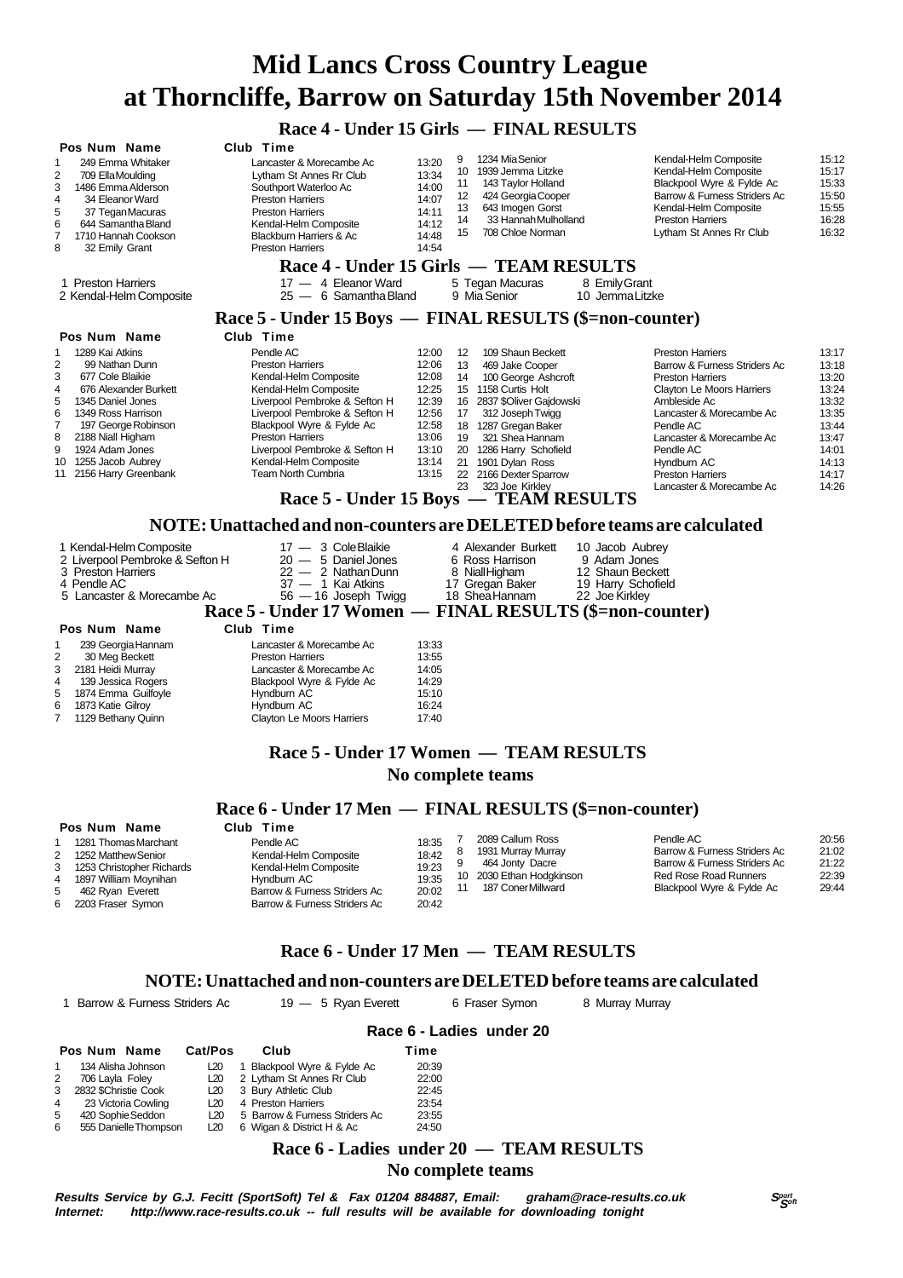|                                                                                                                                                                                                                                                                                                | Race 4 - Under 15 Girls — FINAL RESULTS                                                                                                                                                                                                                                                                                                          |                                                                                                 |                                                                      |                                                                                                                                                                                                                                                             |                                                                                                                                                                                                                                                                                                |                                                                                                          |
|------------------------------------------------------------------------------------------------------------------------------------------------------------------------------------------------------------------------------------------------------------------------------------------------|--------------------------------------------------------------------------------------------------------------------------------------------------------------------------------------------------------------------------------------------------------------------------------------------------------------------------------------------------|-------------------------------------------------------------------------------------------------|----------------------------------------------------------------------|-------------------------------------------------------------------------------------------------------------------------------------------------------------------------------------------------------------------------------------------------------------|------------------------------------------------------------------------------------------------------------------------------------------------------------------------------------------------------------------------------------------------------------------------------------------------|----------------------------------------------------------------------------------------------------------|
| Pos Num Name<br>249 Emma Whitaker<br>2<br>709 Ella Moulding<br>3<br>1486 Emma Alderson<br>4<br>34 Eleanor Ward<br>5<br>37 Tegan Macuras<br>6<br>644 Samantha Bland<br>7<br>1710 Hannah Cookson<br>8<br>32 Emily Grant                                                                          | Club Time<br>Lancaster & Morecambe Ac<br>Lytham St Annes Rr Club<br>Southport Waterloo Ac<br><b>Preston Harriers</b><br><b>Preston Harriers</b><br>Kendal-Helm Composite<br>Blackburn Harriers & Ac<br><b>Preston Harriers</b>                                                                                                                   | 13:20<br>13:34<br>14:00<br>14:07<br>14:11<br>14:12<br>14:48<br>14:54                            | 9<br>10<br>11<br>12<br>13<br>14<br>15                                | 1234 Mia Senior<br>1939 Jemma Litzke<br>143 Taylor Holland<br>424 Georgia Cooper<br>643 Imogen Gorst<br>33 Hannah Mulholland<br>708 Chloe Norman                                                                                                            | Kendal-Helm Composite<br>Kendal-Helm Composite<br>Blackpool Wyre & Fylde Ac<br>Barrow & Furness Striders Ac<br>Kendal-Helm Composite<br><b>Preston Harriers</b><br>Lytham St Annes Rr Club                                                                                                     | 15:12<br>15:17<br>15:33<br>15:50<br>15:55<br>16:28<br>16:32                                              |
|                                                                                                                                                                                                                                                                                                | Race 4 - Under 15 Girls — TEAM RESULTS                                                                                                                                                                                                                                                                                                           |                                                                                                 |                                                                      |                                                                                                                                                                                                                                                             |                                                                                                                                                                                                                                                                                                |                                                                                                          |
| <b>Preston Harriers</b><br>2 Kendal-Helm Composite                                                                                                                                                                                                                                             | 17 - 4 Eleanor Ward<br>$25 - 6$ Samantha Bland                                                                                                                                                                                                                                                                                                   |                                                                                                 |                                                                      | 5 Tegan Macuras<br>9 Mia Senior                                                                                                                                                                                                                             | 8 Emily Grant<br>10 Jemma Litzke                                                                                                                                                                                                                                                               |                                                                                                          |
|                                                                                                                                                                                                                                                                                                | Race 5 - Under 15 Boys — FINAL RESULTS (\$=non-counter)                                                                                                                                                                                                                                                                                          |                                                                                                 |                                                                      |                                                                                                                                                                                                                                                             |                                                                                                                                                                                                                                                                                                |                                                                                                          |
| Pos Num Name                                                                                                                                                                                                                                                                                   | Club Time                                                                                                                                                                                                                                                                                                                                        |                                                                                                 |                                                                      |                                                                                                                                                                                                                                                             |                                                                                                                                                                                                                                                                                                |                                                                                                          |
| 1289 Kai Atkins<br>1<br>2<br>99 Nathan Dunn<br>3<br>677 Cole Blaikie<br>4<br>676 Alexander Burkett<br>5<br>1345 Daniel Jones<br>6<br>1349 Ross Harrison<br>7<br>197 George Robinson<br>8<br>2188 Niall Higham<br>9<br>1924 Adam Jones<br>10<br>1255 Jacob Aubrey<br>2156 Harry Greenbank<br>11 | Pendle AC<br><b>Preston Harriers</b><br>Kendal-Helm Composite<br>Kendal-Helm Composite<br>Liverpool Pembroke & Sefton H<br>Liverpool Pembroke & Sefton H<br>Blackpool Wyre & Fylde Ac<br><b>Preston Harriers</b><br>Liverpool Pembroke & Sefton H<br>Kendal-Helm Composite<br><b>Team North Cumbria</b><br>Race 5 - Under 15 Boys — TEAM RESULTS | 12:00<br>12:06<br>12:08<br>12:25<br>12:39<br>12:56<br>12:58<br>13:06<br>13:10<br>13:14<br>13:15 | 12<br>13<br>14<br>15<br>16<br>17<br>18<br>19<br>20<br>21<br>22<br>23 | 109 Shaun Beckett<br>469 Jake Cooper<br>100 George Ashcroft<br>1158 Curtis Holt<br>2837 \$Oliver Gajdowski<br>312 Joseph Twigg<br>1287 Gregan Baker<br>321 Shea Hannam<br>1286 Harry Schofield<br>1901 Dylan Ross<br>2166 Dexter Sparrow<br>323 Joe Kirkley | <b>Preston Harriers</b><br>Barrow & Furness Striders Ac<br><b>Preston Harriers</b><br><b>Clayton Le Moors Harriers</b><br>Ambleside Ac<br>Lancaster & Morecambe Ac<br>Pendle AC<br>Lancaster & Morecambe Ac<br>Pendle AC<br>Hyndburn AC<br><b>Preston Harriers</b><br>Lancaster & Morecambe Ac | 13:17<br>13:18<br>13:20<br>13:24<br>13:32<br>13:35<br>13:44<br>13:47<br>14:01<br>14:13<br>14:17<br>14:26 |
|                                                                                                                                                                                                                                                                                                | NOTE: Unattached and non-counters are DELETED before teams are calculated                                                                                                                                                                                                                                                                        |                                                                                                 |                                                                      |                                                                                                                                                                                                                                                             |                                                                                                                                                                                                                                                                                                |                                                                                                          |
| 1 Kendal-Helm Composite<br>2 Liverpool Pembroke & Sefton H<br>3 Preston Harriers<br>4 Pendle AC<br>5 Lancaster & Morecambe Ac                                                                                                                                                                  | 17 - 3 Cole Blaikie<br>$20 - 5$ Daniel Jones<br>$22 - 2$ Nathan Dunn<br>37 - 1 Kai Atkins<br>$56 - 16$ Joseph Twigg<br>Race 5 - Under 17 Women —                                                                                                                                                                                                 |                                                                                                 |                                                                      | 4 Alexander Burkett<br>6 Ross Harrison<br>8 Niall Higham<br>17 Gregan Baker<br>18 Shea Hannam<br><b>FINAL RESULTS (\$=non-counter)</b>                                                                                                                      | 10 Jacob Aubrev<br>9 Adam Jones<br>12 Shaun Beckett<br>19 Harry Schofield<br>22 Joe Kirkley                                                                                                                                                                                                    |                                                                                                          |

#### **Pos Num Name Club Time**

| 1              | 239 Georgia Hannam    | Lancaster & Morecambe Ac  | 13:33 |
|----------------|-----------------------|---------------------------|-------|
| $\overline{2}$ | 30 Meg Beckett        | <b>Preston Harriers</b>   | 13:55 |
|                | 3 2181 Heidi Murray   | Lancaster & Morecambe Ac  | 14:05 |
| 4              | 139 Jessica Rogers    | Blackpool Wyre & Fylde Ac | 14:29 |
|                | 5 1874 Emma Guilfoyle | Hyndburn AC               | 15:10 |
|                | 6 1873 Katie Gilroy   | Hyndburn AC               | 16:24 |
|                | 7 1129 Bethany Quinn  | Clayton Le Moors Harriers | 17:40 |
|                |                       |                           |       |

#### **Race 5 - Under 17 Women — TEAM RESULTS No complete teams**

#### **Race 6 - Under 17 Men — FINAL RESULTS (\$=non-counter)**

| Pendle AC<br>2089 Callum Ross<br>18:35<br>1281 Thomas Marchant<br>Pendle AC<br>Barrow & Furness Striders Ac<br>1931 Murray Murray<br>18:42<br>Kendal-Helm Composite<br>1252 Matthew Senior                                                                                                                                                                                                              |                                           |
|---------------------------------------------------------------------------------------------------------------------------------------------------------------------------------------------------------------------------------------------------------------------------------------------------------------------------------------------------------------------------------------------------------|-------------------------------------------|
| Barrow & Furness Striders Ac<br>464 Jonty Dacre<br>19:23<br>Kendal-Helm Composite<br>1253 Christopher Richards<br>Red Rose Road Runners<br>10 2030 Ethan Hodgkinson<br>19:35<br>1897 William Moynihan<br>Hvndburn AC<br>4<br>Blackpool Wyre & Fylde Ac<br>187 Coner Millward<br>20:02<br>Barrow & Furness Striders Ac<br>462 Rvan Everett<br>Barrow & Furness Striders Ac<br>20:42<br>2203 Fraser Symon | 20:56<br>21:02<br>21:22<br>22:39<br>29:44 |

#### **Race 6 - Under 17 Men — TEAM RESULTS**

#### **NOTE: Unattached and non-counters are DELETED before teams are calculated**

|                |                       |         |                                | Race 6 - Ladies under 20 |  |
|----------------|-----------------------|---------|--------------------------------|--------------------------|--|
|                | Pos Num Name          | Cat/Pos | Club                           | Time                     |  |
|                | 134 Alisha Johnson    | L20     | Blackpool Wyre & Fylde Ac      | 20:39                    |  |
| 2              | 706 Layla Foley       | L20     | 2 Lytham St Annes Rr Club      | 22:00                    |  |
| 3              | 2832 \$Christie Cook  | L20     | 3 Bury Athletic Club           | 22:45                    |  |
| $\overline{4}$ | 23 Victoria Cowling   | L20     | 4 Preston Harriers             | 23:54                    |  |
| 5              | 420 Sophie Seddon     | L20     | 5 Barrow & Furness Striders Ac | 23:55                    |  |
| 6              | 555 Danielle Thompson | L20     | 6 Wigan & District H & Ac      | 24:50                    |  |

#### **Race 6 - Ladies under 20 — TEAM RESULTS**

#### **No complete teams**

1 Barrow & Furness Striders Ac 19 - 5 Ryan Everett 6 Fraser Symon 8 Murray Murray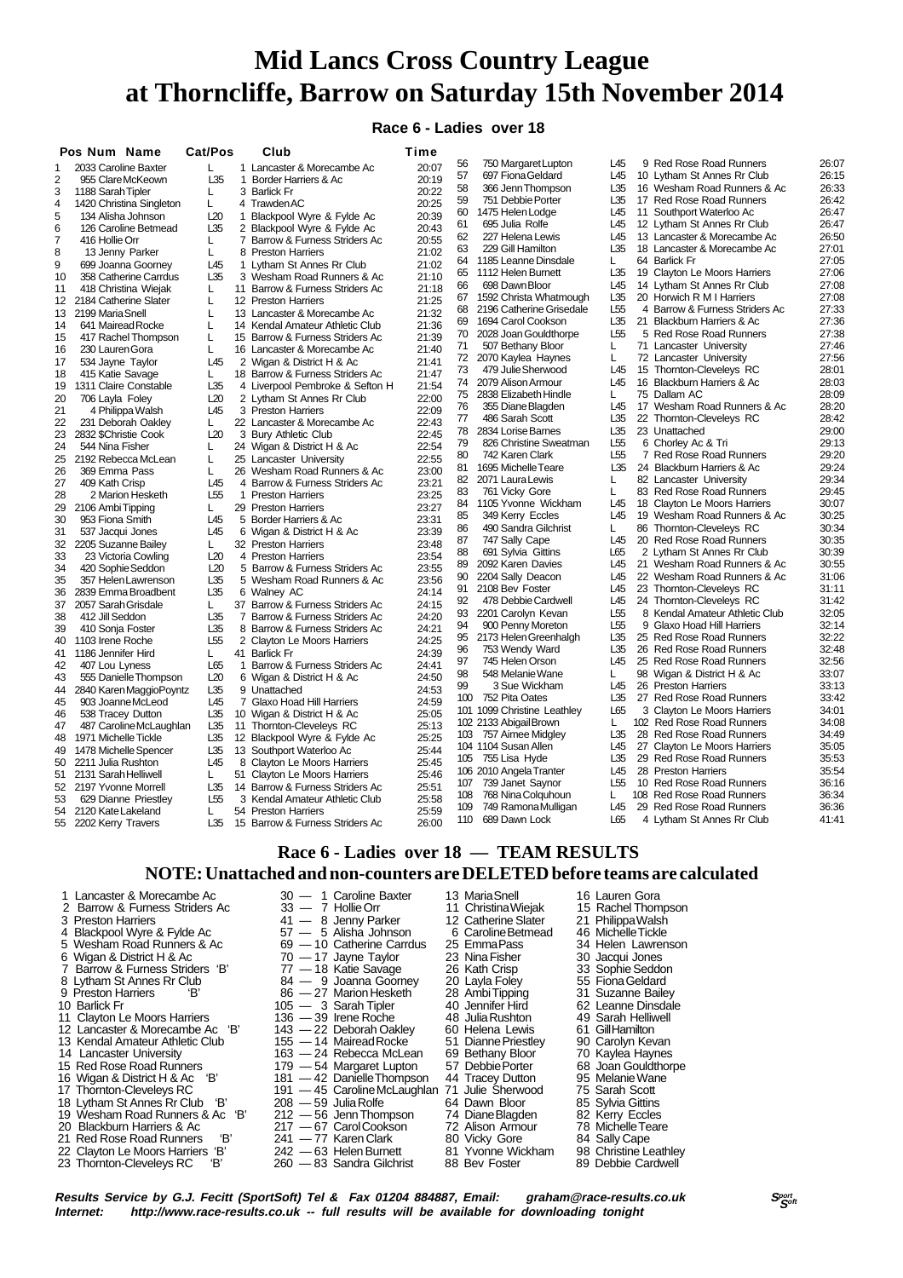**Race 6 - Ladies over 18**

|                | Pos Num Name             | Cat/Pos         |              | Club                            | Time  |          |                                             |                 |    |                                                          |                |
|----------------|--------------------------|-----------------|--------------|---------------------------------|-------|----------|---------------------------------------------|-----------------|----|----------------------------------------------------------|----------------|
| 1              | 2033 Caroline Baxter     | L               |              | 1 Lancaster & Morecambe Ac      | 20:07 | 56       | 750 Margaret Lupton                         | L45             |    | 9 Red Rose Road Runners                                  | 26:07          |
| 2              | 955 Clare McKeown        | L35             |              | 1 Border Harriers & Ac          | 20:19 | 57       | 697 Fiona Geldard                           | L45             |    | 10 Lytham St Annes Rr Club                               | 26:15          |
| 3              | 1188 Sarah Tipler        | L               |              | 3 Barlick Fr                    | 20:22 | 58       | 366 Jenn Thompson                           | L35             |    | 16 Wesham Road Runners & Ac                              | 26:33          |
| $\overline{4}$ | 1420 Christina Singleton | L.              |              | 4 TrawdenAC                     | 20:25 | 59       | 751 Debbie Porter                           | L35             |    | 17 Red Rose Road Runners                                 | 26:42          |
| 5              | 134 Alisha Johnson       | L20             | $\mathbf{1}$ | Blackpool Wyre & Fylde Ac       | 20:39 | 60       | 1475 Helen Lodge                            | L45             |    | 11 Southport Waterloo Ac                                 | 26:47          |
| 6              | 126 Caroline Betmead     | L35             |              | 2 Blackpool Wyre & Fylde Ac     | 20:43 | 61       | 695 Julia Rolfe                             | L45             |    | 12 Lytham St Annes Rr Club                               | 26:47          |
| 7              | 416 Hollie Orr           | L               |              | 7 Barrow & Furness Striders Ac  | 20:55 | 62       | 227 Helena Lewis                            | L45             |    | 13 Lancaster & Morecambe Ac                              | 26:50          |
| 8              | 13 Jenny Parker          | L               |              | 8 Preston Harriers              | 21:02 | 63       | 229 Gill Hamilton                           | L35             |    | 18 Lancaster & Morecambe Ac                              | 27:01          |
| 9              | 699 Joanna Goorney       | L45             | $\mathbf{1}$ | Lytham St Annes Rr Club         | 21:02 | 64       | 1185 Leanne Dinsdale                        | L               |    | 64 Barlick Fr                                            | 27:05          |
| 10             | 358 Catherine Carrdus    | L35             |              | 3 Wesham Road Runners & Ac      | 21:10 | 65       | 1112 Helen Burnett                          | L35             |    | 19 Clayton Le Moors Harriers                             | 27:06          |
| 11             | 418 Christina Wiejak     | L               |              | 11 Barrow & Furness Striders Ac | 21:18 | 66       | 698 Dawn Bloor                              | L45             |    | 14 Lytham St Annes Rr Club                               | 27:08          |
| 12             | 2184 Catherine Slater    | L               |              | 12 Preston Harriers             | 21:25 | 67       | 1592 Christa Whatmough                      | L35             |    | 20 Horwich R M I Harriers                                | 27:08          |
| 13             | 2199 Maria Snell         | L               |              | 13 Lancaster & Morecambe Ac     | 21:32 | 68       | 2196 Catherine Grisedale                    | L <sub>55</sub> |    | 4 Barrow & Furness Striders Ac                           | 27:33          |
| 14             | 641 Mairead Rocke        | L               |              | 14 Kendal Amateur Athletic Club | 21:36 | 69       | 1694 Carol Cookson                          | L35             |    | 21 Blackburn Harriers & Ac                               | 27:36          |
| 15             | 417 Rachel Thompson      | L               |              | 15 Barrow & Furness Striders Ac | 21:39 | 70       | 2028 Joan Gouldthorpe                       | L55             |    | 5 Red Rose Road Runners                                  | 27:38          |
| 16             | 230 Lauren Gora          | L               |              | 16 Lancaster & Morecambe Ac     | 21:40 | 71       | 507 Bethany Bloor                           | L               |    | 71 Lancaster University                                  | 27:46          |
| 17             | 534 Jayne Taylor         | L45             |              | 2 Wigan & District H & Ac       | 21:41 | 72       | 2070 Kaylea Haynes                          | L               |    | 72 Lancaster University                                  | 27:56          |
| 18             | 415 Katie Savage         | L               |              | 18 Barrow & Furness Striders Ac | 21:47 | 73       | 479 Julie Sherwood                          | L45             |    | 15 Thornton-Cleveleys RC                                 | 28:01          |
| 19             | 1311 Claire Constable    | L35             |              | 4 Liverpool Pembroke & Sefton H | 21:54 | 74       | 2079 Alison Armour                          | L45             |    | 16 Blackburn Harriers & Ac                               | 28:03          |
| 20             | 706 Layla Foley          | L20             |              | 2 Lytham St Annes Rr Club       | 22:00 | 75       | 2838 Elizabeth Hindle                       | L               |    | 75 Dallam AC                                             | 28:09          |
| 21             | 4 Philippa Walsh         | L <sub>45</sub> |              | 3 Preston Harriers              | 22:09 | 76       | 355 Diane Blagden                           | L45             |    | 17 Wesham Road Runners & Ac                              | 28:20          |
| 22             | 231 Deborah Oakley       | L               |              | 22 Lancaster & Morecambe Ac     | 22:43 | 77       | 486 Sarah Scott                             | L35             |    | 22 Thornton-Cleveleys RC                                 | 28:42          |
| 23             | 2832 \$Christie Cook     | L20             |              | 3 Bury Athletic Club            | 22:45 | 78       | 2834 Lorise Barnes                          | L35             |    | 23 Unattached                                            | 29:00          |
| 24             | 544 Nina Fisher          | L               |              | 24 Wigan & District H & Ac      | 22:54 | 79       | 826 Christine Sweatman                      | L55             |    | 6 Chorley Ac & Tri                                       | 29:13          |
| 25             | 2192 Rebecca McLean      | L               |              | 25 Lancaster University         | 22:55 | 80       | 742 Karen Clark                             | L <sub>55</sub> |    | 7 Red Rose Road Runners                                  | 29:20          |
| 26             | 369 Emma Pass            | L               |              | 26 Wesham Road Runners & Ac     | 23:00 | 81       | 1695 Michelle Teare                         | L35             |    | 24 Blackburn Harriers & Ac                               | 29:24          |
| 27             | 409 Kath Crisp           | L45             |              | 4 Barrow & Furness Striders Ac  | 23:21 | 82       | 2071 Laura Lewis                            | L               |    | 82 Lancaster University                                  | 29:34          |
| 28             | 2 Marion Hesketh         | L <sub>55</sub> |              | 1 Preston Harriers              | 23:25 | 83       | 761 Vicky Gore                              | L               |    | 83 Red Rose Road Runners                                 | 29:45          |
| 29             | 2106 Ambi Tipping        | L               |              | 29 Preston Harriers             | 23:27 | 84       | 1105 Yvonne Wickham                         | L45             |    | 18 Clayton Le Moors Harriers                             | 30:07          |
| 30             | 953 Fiona Smith          | L45             |              | 5 Border Harriers & Ac          | 23:31 | 85       | 349 Kerry Eccles                            | L45             |    | 19 Wesham Road Runners & Ac                              | 30:25          |
| 31             | 537 Jacqui Jones         | L45             |              | 6 Wigan & District H & Ac       | 23:39 | 86       | 490 Sandra Gilchrist                        | L               |    | 86 Thornton-Cleveleys RC                                 | 30:34          |
| 32             | 2205 Suzanne Bailey      | L               |              | 32 Preston Harriers             | 23:48 | 87       | 747 Sally Cape                              | L45             |    | 20 Red Rose Road Runners                                 | 30:35          |
| 33             | 23 Victoria Cowling      | L20             |              | 4 Preston Harriers              | 23:54 | 88       | 691 Sylvia Gittins                          | L65             |    | 2 Lytham St Annes Rr Club                                | 30:39          |
| 34             | 420 Sophie Seddon        | L20             |              | 5 Barrow & Furness Striders Ac  | 23:55 | 89       | 2092 Karen Davies                           | L45             |    | 21 Wesham Road Runners & Ac                              | 30:55          |
| 35             | 357 Helen Lawrenson      | L35             |              | 5 Wesham Road Runners & Ac      | 23:56 | 90       | 2204 Sally Deacon                           | L45             |    | 22 Wesham Road Runners & Ac                              | 31:06          |
| 36             | 2839 Emma Broadbent      | L35             |              | 6 Walney AC                     | 24:14 | 91       | 2108 Bev Foster                             | L45             |    | 23 Thornton-Cleveleys RC                                 | 31:11          |
| 37             | 2057 Sarah Grisdale      | L               |              | 37 Barrow & Furness Striders Ac | 24:15 | 92       | 478 Debbie Cardwell                         | L45             |    | 24 Thornton-Cleveleys RC                                 | 31:42          |
| 38             | 412 Jill Seddon          | L35             |              | 7 Barrow & Furness Striders Ac  | 24:20 | 93       | 2201 Carolyn Kevan                          | L <sub>55</sub> |    | 8 Kendal Amateur Athletic Club                           | 32:05          |
| 39             | 410 Sonja Foster         | L35             |              | 8 Barrow & Furness Striders Ac  | 24:21 | 94       | 900 Penny Moreton                           | L55             |    | 9 Glaxo Hoad Hill Harriers                               | 32:14          |
| 40             | 1103 Irene Roche         | L <sub>55</sub> |              | 2 Clayton Le Moors Harriers     | 24:25 | 95       | 2173 Helen Greenhalgh                       | L35<br>L35      |    | 25 Red Rose Road Runners                                 | 32:22<br>32:48 |
| 41             | 1186 Jennifer Hird       | L               |              | 41 Barlick Fr                   | 24:39 | 96<br>97 | 753 Wendy Ward                              | L45             |    | 26 Red Rose Road Runners                                 | 32:56          |
| 42             | 407 Lou Lyness           | L65             |              | 1 Barrow & Furness Striders Ac  | 24:41 |          | 745 Helen Orson                             |                 |    | 25 Red Rose Road Runners                                 |                |
| 43             | 555 Danielle Thompson    | L20             |              | 6 Wigan & District H & Ac       | 24:50 | 98       | 548 Melanie Wane                            | L<br>L45        |    | 98 Wigan & District H & Ac                               | 33:07          |
| 44             | 2840 Karen Maggio Poyntz | L35             |              | 9 Unattached                    | 24:53 | 99       | 3 Sue Wickham                               | L35             |    | 26 Preston Harriers                                      | 33:13          |
| 45             | 903 Joanne McLeod        | L45             |              | 7 Glaxo Hoad Hill Harriers      | 24:59 | 100      | 752 Pita Oates                              |                 |    | 27 Red Rose Road Runners                                 | 33:42          |
| 46             | 538 Tracey Dutton        | L35             |              | 10 Wigan & District H & Ac      | 25:05 |          | 101 1099 Christine Leathley                 | L65<br>L        |    | 3 Clayton Le Moors Harriers<br>102 Red Rose Road Runners | 34:01<br>34:08 |
| 47             | 487 Caroline McLaughlan  | L35             | 11           | Thornton-Cleveleys RC           | 25:13 | 103      | 102 2133 Abigail Brown<br>757 Aimee Midgley | L35             |    | 28 Red Rose Road Runners                                 | 34:49          |
| 48             | 1971 Michelle Tickle     | L35             |              | 12 Blackpool Wyre & Fylde Ac    | 25:25 |          | 104 1104 Susan Allen                        | L45             |    |                                                          |                |
| 49             | 1478 Michelle Spencer    | L35             |              | 13 Southport Waterloo Ac        | 25:44 |          |                                             |                 |    | 27 Clayton Le Moors Harriers                             | 35:05          |
| 50             | 2211 Julia Rushton       | L45             | 8            | Clayton Le Moors Harriers       | 25:45 | 105      | 755 Lisa Hyde                               | L35<br>L45      | 29 | <b>Red Rose Road Runners</b><br>28 Preston Harriers      | 35:53<br>35:54 |
| 51             | 2131 Sarah Helliwell     | L               |              | 51 Clayton Le Moors Harriers    | 25:46 | 107      | 106 2010 Angela Tranter<br>739 Janet Saynor | L <sub>55</sub> |    | 10 Red Rose Road Runners                                 | 36:16          |
| 52             | 2197 Yvonne Morrell      | L35             |              | 14 Barrow & Furness Striders Ac | 25:51 | 108      | 768 Nina Colquhoun                          | L               |    | 108 Red Rose Road Runners                                | 36:34          |
| 53             | 629 Dianne Priestley     | L <sub>55</sub> |              | 3 Kendal Amateur Athletic Club  | 25:58 | 109      | 749 Ramona Mulligan                         | L45             |    | 29 Red Rose Road Runners                                 | 36:36          |
| 54             | 2120 Kate Lakeland       | L               |              | 54 Preston Harriers             | 25:59 |          | 110 689 Dawn Lock                           | L65             |    | 4 Lytham St Annes Rr Club                                | 41:41          |
| 55             | 2202 Kerry Travers       | L35             |              | 15 Barrow & Furness Striders Ac | 26:00 |          |                                             |                 |    |                                                          |                |

## **Race 6 - Ladies over 18 — TEAM RESULTS**

**NOTE: Unattached and non-counters are DELETED before teams are calculated**

1 Lancaster & Morecambe Ac 30 — 1 Caroline Baxter 13 Maria Snell 16 Lauren Gora<br>2 Barrow & Furness Striders Ac 33 — 7 Hollie Orr 11 Christina Wieiak 15 Rachel Thompson 2 Barrow & Furness Striders Ac 33 — 7 Hollie Orr 11 Christina Wiejak 15 Rachel Thomp<br>3 Preston Harriers 3 Midle 21 - 8 Jenny Parker 12 Catherine Slater 21 Philippa Walsh 3 Prima Harriers 41 — 8 Jenny Parker 12 Catherine Slater 21 Philippa Walsh<br>57 — 5 Alisha Johnson 6 Caroline Betmead 46 Michelle Tickle 4 Blackpool Wyre & Fylde Ac 57 — 5 Alisha Johnson 6 Caroline Betmead 46 Michelle Tickle 5 Wesham Road Runners & Ac 69 — 10 Catherine Carrdus 25 Emma Pass 34 Helen Lawren<br>6 Wigan & District H & Ac 70 — 17 Jayne Taylor 23 Nina Fisher 30 Jacqui Jones<br>7 Barrow & Furness Striders 'B' 77 — 18 Katie Savage 26 Kath C 6 Wigan & District H & Ac 70 — 17 Jayne Taylor 23 Nina Fisher 30 Jacqui Jones 7 Barrow & Furness Striders 'B' 77 — 18 Katie Savage 26 Kath Crisp 33 Sophie Seddon 8 Lytham St Annes Rr Club 84 — 9 Joanna Goorney 20 Layla Foley 55 Fiona Geldard 9 Preston Harriers 'B' 86 - 27 Marion Hesketh 28 Ambi Tipping 31 Suzanne Bailey 10 Barlick Fr 105 — 3 Sarah Tipler 105 - 40 Jennifer Hird 62 Leanne Dinsdale 11 Clayton Le Moors Harriers 136 — 39 Irene Roche 48 Julia Rushton 49 Sarah Helliwell<br>12 Lancaster & Morecambe Ac 'B' 143 — 22 Deborah Oakley 60 Helena Lewis 61 Gill Hamilton<br>13 Kendal Amateur Athletic Club 155 — 14 Mairea 12 Lancaster & Morecambe Ac 'B' 143 — 22 Deborah Oakley 60 Helena Lewis 61 Gill Hamilton<br>13 Kendal Amateur Athletic Club 155 — 14 Mairead Rocke 51 Dianne Priestley 90 Carolyn Kevan 13 Kendal Amateur Athletic Club 155 — 14 Mairead Rocke 51 Dianne Priestley 90 Carolyn Kevan<br>14 Lancaster University 163 — 24 Rebecca McLean 69 Bethany Bloor 70 Kaylea Haynes 163 — 24 Rebecca McLean 69 Bethany Bloor 70 Kaylea Haynes<br>179 — 54 Margaret Lupton 57 Debbie Porter 68 Joan Gouldthorpe 15 Red Rose Road Runners 179 — 54 Margaret Lupton 57 Debbie Porter 68 Joan Gouldthorpe 16 Wigan & District H & Ac 'B' 181 — 42 Danielle Thompson 44 Tracey Dutton 95 Melanie Wane 17 Thornton-Cleveleys RC 191 — 45 Caroline McLaughlan 71 Julie Sherwood 75 Sarah Scott<br>18 Lytham St Annes Rr Club 18' 208 — 59 Julia Rolfe 64 Dawn Bloor 85 Sylvia Gittins<br>19 Wesham Road Runners & Ac 18' 212 — 56 Jenn Thomp 18 Lytham St Annes Rr Club 'B' 208 — 59 Julia Rolfe 64 Dawn Bloor 85 Sylvia Gittins 19 Wesham Road Runners & Ac 'B' 212 — 56 Jenn Thompson 74 Diane Blagden 82 Kerry Eccles 20 Blackburn Harriers & Ac 217 — 67 Carol Cookson 72 Alison Armour 73 Australian 21 Red Rose Road Runners 18 241 - 77 Karen Clark 21 Red Rose Road Runners 'B' 241 — 77 Karen Clark 80 Vicky Gore 84 Sally Cape<br>22 Clavton Le Moors Harriers 'B' 242 — 63 Helen Burnett 81 Yvonne Wickham 98 Christine Leathlev 22 Clayton Le Moors Harriers 'B' 242 — 63 Helen Burnett 81 Yvonne Wickham 98 Christine Leathle<br>23 Thornton-Cleveleys RC 'B' 260 — 83 Sandra Gilchrist 88 Bev Foster 89 Debbie Cardwell 23 Thornton-Cleveleys RC

**Results Service by G.J. Fecitt (SportSoft) Tel & Fax 01204 884887, Email: graham@race-results.co.uk Sport by Sport<br>Internet: http://www.race-results.co.uk -- full results will be available for downloading tonight** http://www.race-results.co.uk -- full results will be available for downloading tonight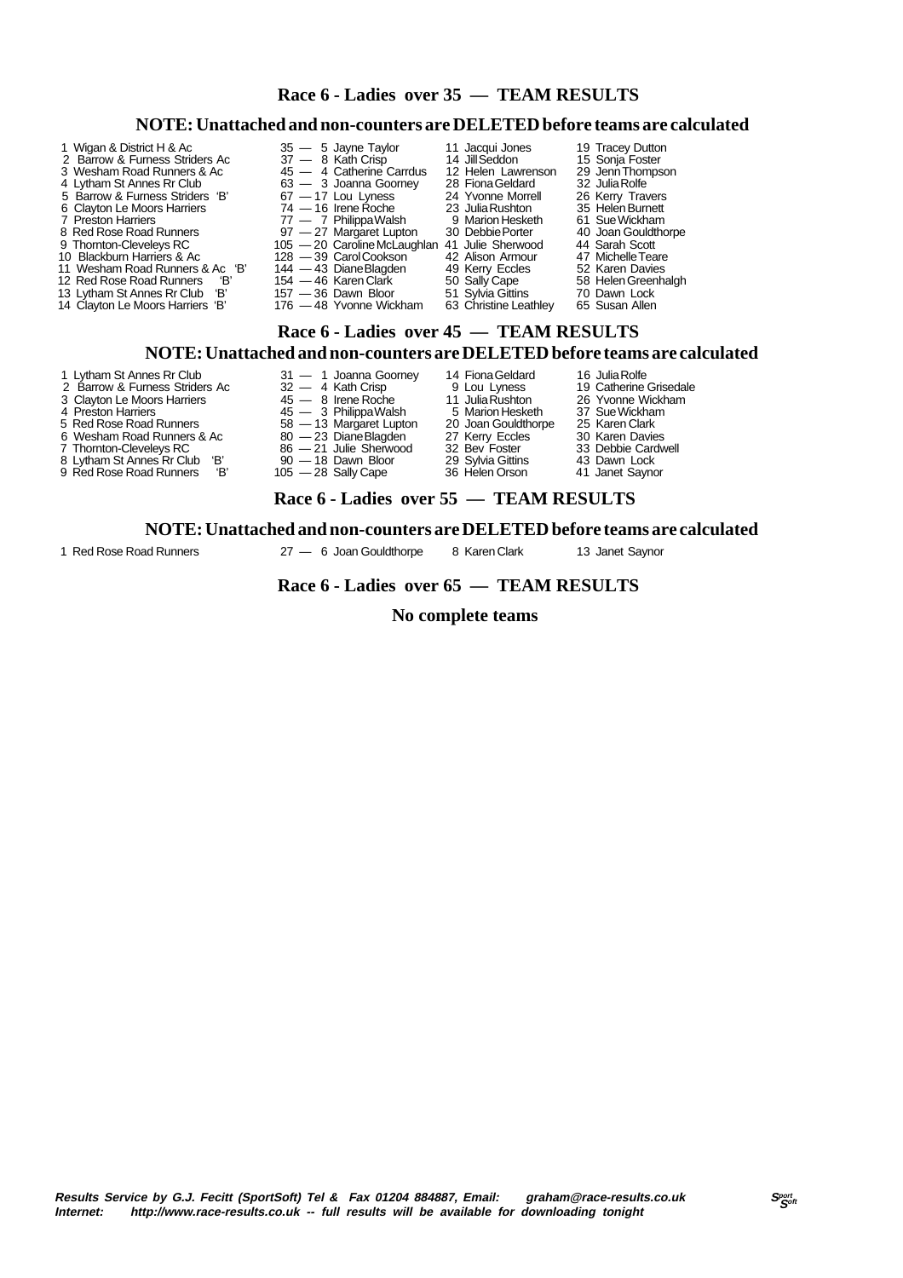| NOTE: Unattached and non-counters are DELETED before teams are calculated                                                                                                                                                                                                                                                                                                                                                                      |                                                                                                                                                                                                                                                                                                                                                                                          |                                                                                                                                                                                                                                                                    |                                                                                                                                                                                                                                                                               |  |  |  |  |  |
|------------------------------------------------------------------------------------------------------------------------------------------------------------------------------------------------------------------------------------------------------------------------------------------------------------------------------------------------------------------------------------------------------------------------------------------------|------------------------------------------------------------------------------------------------------------------------------------------------------------------------------------------------------------------------------------------------------------------------------------------------------------------------------------------------------------------------------------------|--------------------------------------------------------------------------------------------------------------------------------------------------------------------------------------------------------------------------------------------------------------------|-------------------------------------------------------------------------------------------------------------------------------------------------------------------------------------------------------------------------------------------------------------------------------|--|--|--|--|--|
| 1 Wigan & District H & Ac<br>2 Barrow & Furness Striders Ac<br>3 Wesham Road Runners & Ac<br>4 Lytham St Annes Rr Club<br>5 Barrow & Furness Striders 'B'<br>6 Clayton Le Moors Harriers<br>7 Preston Harriers<br>8 Red Rose Road Runners<br>9 Thornton-Cleveleys RC<br>10 Blackburn Harriers & Ac<br>11 Wesham Road Runners & Ac 'B'<br>12 Red Rose Road Runners<br>"B'<br>13 Lytham St Annes Rr Club 'B'<br>14 Clayton Le Moors Harriers 'B' | $35 - 5$ Jayne Taylor<br>37 - 8 Kath Crisp<br>45 - 4 Catherine Carrdus<br>63 - 3 Joanna Goorney<br>$67 - 17$ Lou Lyness<br>$74 - 16$ Irene Roche<br>77 — 7 Philippa Walsh<br>97 - 27 Margaret Lupton<br>105 - 20 Caroline McLaughlan 41 Julie Sherwood<br>128 - 39 Carol Cookson<br>144 - 43 Diane Blagden<br>$154 - 46$ Karen Clark<br>$157 - 36$ Dawn Bloor<br>176 — 48 Yvonne Wickham | 11 Jacqui Jones<br>14 Jill Seddon<br>12 Helen Lawrenson<br>28 Fiona Geldard<br>24 Yvonne Morrell<br>23 Julia Rushton<br>9 Marion Hesketh<br>30 Debbie Porter<br>42 Alison Armour<br>49 Kerry Eccles<br>50 Sally Cape<br>51 Sylvia Gittins<br>63 Christine Leathley | 19 Tracey Dutton<br>15 Sonja Foster<br>29 Jenn Thompson<br>32 Julia Rolfe<br>26 Kerry Travers<br>35 Helen Burnett<br>61 Sue Wickham<br>40 Joan Gouldthorpe<br>44 Sarah Scott<br>47 Michelle Teare<br>52 Karen Davies<br>58 Helen Greenhalgh<br>70 Dawn Lock<br>65 Susan Allen |  |  |  |  |  |
| Race 6 - Ladies over 45 - TEAM RESULTS<br>NOTE: Unattached and non-counters are DELETED before teams are calculated                                                                                                                                                                                                                                                                                                                            |                                                                                                                                                                                                                                                                                                                                                                                          |                                                                                                                                                                                                                                                                    |                                                                                                                                                                                                                                                                               |  |  |  |  |  |
| 1 Lytham St Annes Rr Club                                                                                                                                                                                                                                                                                                                                                                                                                      | 31 - 1 Joanna Goorney 14 Fiona Geldard                                                                                                                                                                                                                                                                                                                                                   |                                                                                                                                                                                                                                                                    | 16 Julia Rolfe                                                                                                                                                                                                                                                                |  |  |  |  |  |

- 
- 
- 
- 
- 
- 
- 
- 
- 3 Clayton Le Moors Harriers 45 8 Irene Roche 11 Julia Rushton 26 Yvonne Wickham 4 Preston Harriers 45 3 Philippa Walsh 5 Marion Hesketh 37 Sue Wickham
	-
	-
	-
	-
	-
- 5 Red Rose Road Runners 58 13 Margaret Lupton 20 Joan Gouldthorpe 25 Karen Clark 6 Wesham Road Runners & Ac 80 — 23 Diane Blagden 27 Kerry Eccles 30 Karen Davies 7 Thornton-Cleveleys RC 86 — 21 Julie Sherwood 32 Bev Foster 33 Debbie Cardwell 8 Lytham St Annes Rr Club 'B' 90 — 18 Dawn Bloor 29 Sylvia Gittins 43 Dawn Lock 9 Red Rose Road Runners 'B' 105 — 28 Sally Cape 36 Helen Orson 41 Janet Saynor
- 2 Barrow & Furness Striders Ac 32 4 Kath Crisp 9 Lou Lyness 19 Catherine Grisedale<br>3 Clayton Le Moors Harriers 45 8 Irene Roche 11 Julia Rushton 26 Yvonne Wickham<br>4 Preston Harriers 45 3 Philippa Walsh 5 Marion Heske
	-
	-
	-

#### **Race 6 - Ladies over 55 — TEAM RESULTS**

 **Race 6 - Ladies over 35 — TEAM RESULTS**

#### **NOTE: Unattached and non-counters are DELETED before teams are calculated**

1 Red Rose Road Runners 27 — 6 Joan Gouldthorpe 8 Karen Clark 13 Janet Saynor

#### **Race 6 - Ladies over 65 — TEAM RESULTS**

 **No complete teams**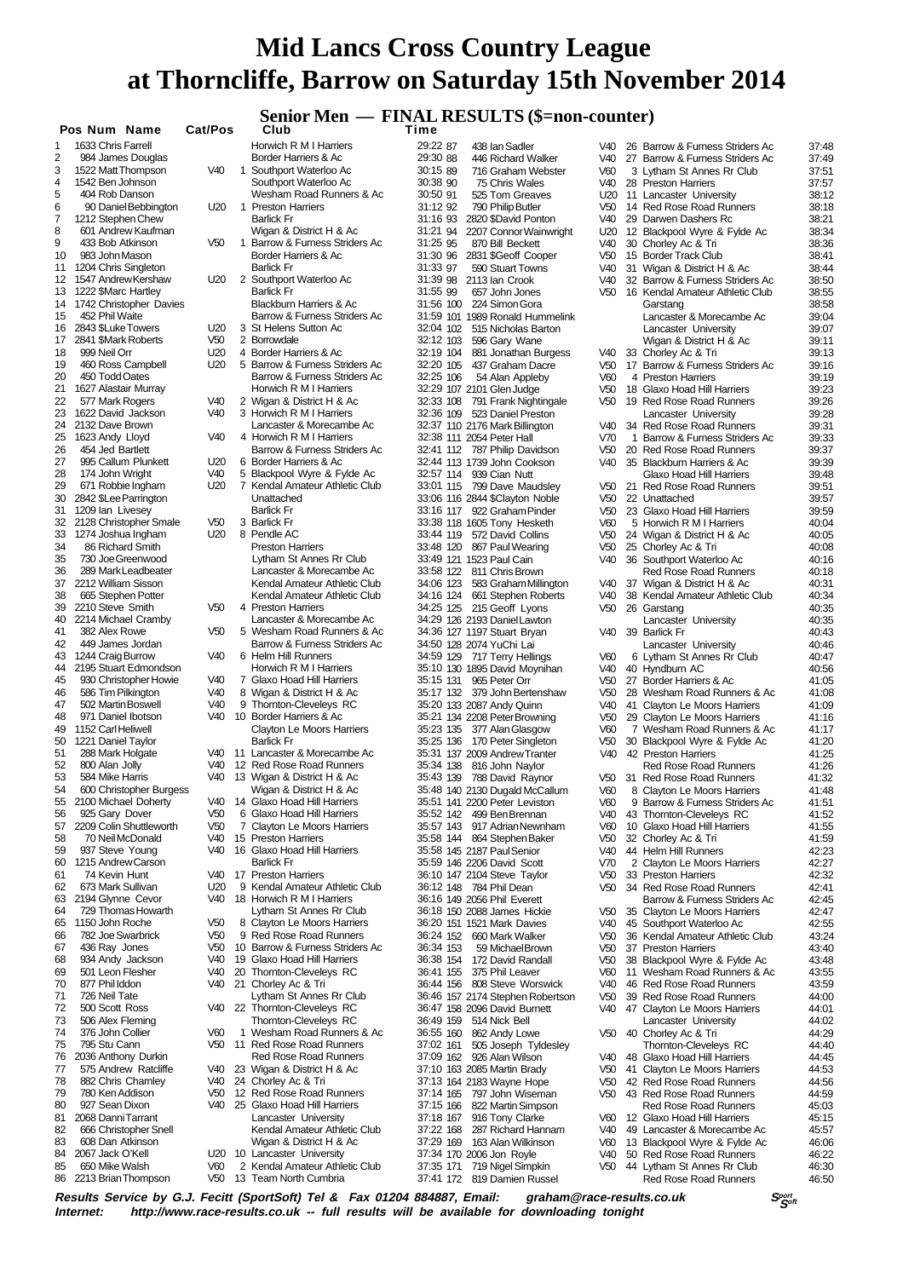## **Senior Men — FINAL RESULTS (\$=non-counter)**

|                 | Pos Num                                | Name                    | <b>Cat/Pos</b>         |   | Club                                                           | Time           |
|-----------------|----------------------------------------|-------------------------|------------------------|---|----------------------------------------------------------------|----------------|
| 1               | 1633 Chris Farrell                     |                         |                        |   | Horwich R M I Harriers                                         | 29:22          |
| 2<br>3          | 1522 Matt Thompson                     | 984 James Douglas       | V40                    |   | Border Harriers & Ac<br>1 Southport Waterloo Ac                | 29:30<br>30:15 |
| 4               | 1542 Ben Johnson                       |                         |                        |   | Southport Waterloo Ac                                          | 30:38          |
| 5               | 404 Rob Danson                         |                         |                        |   | Wesham Road Runners & Ac                                       | 30:50          |
| 6               |                                        | 90 Daniel Bebbington    | U20                    |   | 1 Preston Harriers                                             | 31:12          |
| 7               | 1212 Stephen Chew                      |                         |                        |   | <b>Barlick Fr</b>                                              | 31:16          |
| 8               |                                        | 601 Andrew Kaufman      |                        |   | Wigan & District H & Ac                                        | 31:21          |
| 9               | 433 Bob Atkinson                       |                         | V <sub>50</sub>        |   | 1 Barrow & Furness Striders Ac                                 | 31:25          |
| 10              | 983 John Mason                         |                         |                        |   | Border Harriers & Ac                                           | 31:30          |
| 11<br>12        | 1204 Chris Singleton                   | 1547 Andrew Kershaw     | U20                    |   | <b>Barlick Fr</b><br>2 Southport Waterloo Ac                   | 31:33<br>31:39 |
| 13              | 1222 \$Marc Hartley                    |                         |                        |   | <b>Barlick Fr</b>                                              | 31:55          |
| 14              |                                        | 1742 Christopher Davies |                        |   | <b>Blackburn Harriers &amp; Ac</b>                             | 31:56          |
| 15              | 452 Phil Waite                         |                         |                        |   | Barrow & Furness Striders Ac                                   | 31:59          |
| 16              | 2843 \$Luke Towers                     |                         | U20                    |   | 3 St Helens Sutton Ac                                          | 32:04          |
| 17              | 2841 \$Mark Roberts                    |                         | V50                    |   | 2 Borrowdale                                                   | 32:12          |
| 18              | 999 Neil Orr                           |                         | U20                    |   | 4 Border Harriers & Ac                                         | 32:19          |
| 19<br>20        |                                        | 460 Ross Campbell       | U20                    |   | 5 Barrow & Furness Striders Ac<br>Barrow & Furness Striders Ac | 32:20<br>32:25 |
| 21              | 450 Todd Oates<br>1627 Alastair Murray |                         |                        |   | Horwich R M I Harriers                                         | 32:29          |
| 22              | 577 Mark Rogers                        |                         | V40                    |   | 2 Wigan & District H & Ac                                      | 32:33          |
| 23              | 1622 David Jackson                     |                         | V40                    |   | 3 Horwich R M I Harriers                                       | 32:36          |
| 24              | 2132 Dave Brown                        |                         |                        |   | Lancaster & Morecambe Ac                                       | 32:37          |
| 25              | 1623 Andy Lloyd                        |                         | V40                    |   | 4 Horwich R M I Harriers                                       | 32:38          |
| 26              | 454 Jed Bartlett                       |                         |                        |   | Barrow & Furness Striders Ac                                   | 32:41          |
| 27              |                                        | 995 Callum Plunkett     | U20                    |   | 6 Border Harriers & Ac                                         | 32:44          |
| 28<br>29        | 174 John Wright                        | 671 Robbie Ingham       | V40<br>U20             |   | 5 Blackpool Wyre & Fylde Ac<br>7 Kendal Amateur Athletic Club  | 32:57<br>33:01 |
| 30              | 2842 \$Lee Parrington                  |                         |                        |   | Unattached                                                     | 33:06          |
| 31              | 1209 Ian Livesey                       |                         |                        |   | <b>Barlick Fr</b>                                              | 33:16          |
| 32              |                                        | 2128 Christopher Smale  | V <sub>50</sub>        |   | 3 Barlick Fr                                                   | 33:38          |
| 33              | 1274 Joshua Ingham                     |                         | U20                    |   | 8 Pendle AC                                                    | 33:44          |
| 34              |                                        | 86 Richard Smith        |                        |   | <b>Preston Harriers</b>                                        | 33:48          |
| 35              |                                        | 730 Joe Greenwood       |                        |   | Lytham St Annes Rr Club                                        | 33:49          |
| 36              | 2212 William Sisson                    | 289 Mark Leadbeater     |                        |   | Lancaster & Morecambe Ac<br>Kendal Amateur Athletic Club       | 33:58          |
| 37<br>38        |                                        | 665 Stephen Potter      |                        |   | Kendal Amateur Athletic Club                                   | 34:06<br>34:16 |
| 39              | 2210 Steve Smith                       |                         | V <sub>50</sub>        |   | 4 Preston Harriers                                             | 34:25          |
| 40              |                                        | 2214 Michael Cramby     |                        |   | Lancaster & Morecambe Ac                                       | 34:29          |
| 41              | 382 Alex Rowe                          |                         | V <sub>50</sub>        |   | 5 Wesham Road Runners & Ac                                     | 34:36          |
| 42              |                                        | 449 James Jordan        |                        |   | Barrow & Furness Striders Ac                                   | 34:50          |
| 43              | 1244 Craig Burrow                      |                         | V40                    |   | 6 Helm Hill Runners                                            | 34:59          |
| 44              |                                        | 2195 Stuart Edmondson   | V40                    |   | Horwich R M I Harriers                                         | 35:10          |
| 45<br>46        | 586 Tim Pilkington                     | 930 Christopher Howie   | V40                    |   | 7 Glaxo Hoad Hill Harriers<br>8 Wigan & District H & Ac        | 35:15<br>35:17 |
| 47              | 502 Martin Boswell                     |                         | V40                    |   | 9 Thornton-Cleveleys RC                                        | 35:20          |
| 48              | 971 Daniel Ibotson                     |                         | V40                    |   | 10 Border Harriers & Ac                                        | 35:21          |
| 49              | 1152 Carl Heliwell                     |                         |                        |   | Clayton Le Moors Harriers                                      | 35:23          |
| 50              | 1221 Daniel Taylor                     |                         |                        |   | <b>Barlick Fr</b>                                              | 35:25          |
| 51              | 288 Mark Holgate                       |                         | V40                    |   | 11 Lancaster & Morecambe Ac                                    | 35:31          |
| 52              | 800 Alan Jolly                         |                         | V <sub>40</sub><br>V40 |   | 12 Red Rose Road Runners                                       | 35:34          |
| 53<br>54        | 584 Mike Harris                        | 600 Christopher Burgess |                        |   | 13 Wigan & District H & Ac<br>Wigan & District H & Ac          | 35:43<br>35:48 |
| 55              |                                        | 2100 Michael Doherty    | V40                    |   | 14 Glaxo Hoad Hill Harriers                                    | 35:51          |
| 56              | 925 Gary Dover                         |                         | V <sub>50</sub>        |   | 6 Glaxo Hoad Hill Harriers                                     | 35:52          |
| 57              |                                        | 2209 Colin Shuttleworth | V <sub>50</sub>        | 7 | <b>Clayton Le Moors Harriers</b>                               | 35:57          |
| 58              |                                        | 70 Neil McDonald        | V40                    |   | 15 Preston Harriers                                            | 35:58          |
| 59              | 937 Steve Young                        |                         | V40                    |   | 16 Glaxo Hoad Hill Harriers                                    | 35:58          |
| 60              | 1215 Andrew Carson                     |                         |                        |   | <b>Barlick Fr</b>                                              | 35:59          |
| 61<br>62        | 74 Kevin Hunt<br>673 Mark Sullivan     |                         | V40<br>U20             |   | 17 Preston Harriers<br>9 Kendal Amateur Athletic Club          | 36:10<br>36:12 |
| 63              | 2194 Glynne Cevor                      |                         | V40                    |   | 18 Horwich R M I Harriers                                      | 36:16          |
| 64              |                                        | 729 Thomas Howarth      |                        |   | Lytham St Annes Rr Club                                        | 36:18          |
| 65              | 1150 John Roche                        |                         | V <sub>50</sub>        |   | 8 Clayton Le Moors Harriers                                    | 36:20          |
| 66              | 782 Joe Swarbrick                      |                         | V <sub>50</sub>        |   | 9 Red Rose Road Runners                                        | 36:24          |
| 67              | 436 Ray Jones                          |                         | V <sub>50</sub>        |   | 10 Barrow & Furness Striders Ac                                | 36:34          |
| 68              |                                        | 934 Andy Jackson        | V40                    |   | 19 Glaxo Hoad Hill Harriers                                    | 36:38          |
| 69              | 501 Leon Flesher                       |                         | V40                    |   | 20 Thornton-Cleveleys RC                                       | 36:41          |
| 70<br>71        | 877 Phil Iddon<br>726 Neil Tate        |                         | V40                    |   | 21 Chorley Ac & Tri<br>Lytham St Annes Rr Club                 | 36:44<br>36:46 |
| 72              | 500 Scott Ross                         |                         | V40                    |   | 22 Thornton-Cleveleys RC                                       | 36:47          |
| 73              | 506 Alex Fleming                       |                         |                        |   | Thornton-Cleveleys RC                                          | 36:49          |
| 74              | 376 John Collier                       |                         | V60                    |   | 1 Wesham Road Runners & Ac                                     | 36:55          |
| 75              | 795 Stu Cann                           |                         | V <sub>50</sub>        |   | 11 Red Rose Road Runners                                       | 37:02          |
| 76              |                                        | 2036 Anthony Durkin     |                        |   | Red Rose Road Runners                                          | 37:09          |
| 77              |                                        | 575 Andrew Ratcliffe    | V40                    |   | 23 Wigan & District H & Ac                                     | 37:10          |
| 78              |                                        | 882 Chris Charnley      | V40                    |   | 24 Chorley Ac & Tri                                            | 37:13          |
| 79<br>80        | 780 Ken Addison<br>927 Sean Dixon      |                         | V50<br>V40             |   | 12 Red Rose Road Runners<br>25 Glaxo Hoad Hill Harriers        | 37:14<br>37:15 |
| 81              | 2068 Danni Tarrant                     |                         |                        |   | Lancaster University                                           | 37:18          |
| 82              |                                        | 666 Christopher Snell   |                        |   | Kendal Amateur Athletic Club                                   | 37:22          |
| 83              | 608 Dan Atkinson                       |                         |                        |   | Wigan & District H & Ac                                        | 37:29          |
| 84              | 2067 Jack O'Kell                       |                         | U20                    |   | 10 Lancaster University                                        | 37:34          |
| 85<br><b>RG</b> | 650 Mike Walsh                         | 2213 Brian Thompson     | V60<br>1/50            |   | 2 Kendal Amateur Athletic Club<br>13 Toom North Cumbris        | 37:35<br>27.11 |
|                 |                                        |                         |                        |   |                                                                |                |

|          | Pos Num Name                           |                                             | Cat/Pos                            | senior ivien —<br>Club                                         | <b>FINAL KESULT</b><br>Time |                                             |
|----------|----------------------------------------|---------------------------------------------|------------------------------------|----------------------------------------------------------------|-----------------------------|---------------------------------------------|
| 1        | 1633 Chris Farrell                     |                                             |                                    | Horwich R M I Harriers                                         | 29:22 87                    | 438 Ian Sa                                  |
| 2        |                                        | 984 James Douglas                           |                                    | Border Harriers & Ac                                           | 29:30 88                    | 446 Richa                                   |
| 3        |                                        | 1522 Matt Thompson                          | V <sub>40</sub>                    | 1 Southport Waterloo Ac                                        | 30:15 89                    | 716 Graha                                   |
| 4<br>5   | 1542 Ben Johnson<br>404 Rob Danson     |                                             |                                    | Southport Waterloo Ac<br>Wesham Road Runners & Ac              | 30:38 90<br>30:50 91        | 75 Chris<br>525 Tom                         |
| 6        |                                        | 90 Daniel Bebbington                        | U20                                | 1 Preston Harriers                                             | 31:12 92                    | 790 Philip                                  |
| 7        | 1212 Stephen Chew                      |                                             |                                    | <b>Barlick Fr</b>                                              | 31:16 93                    | 2820 \$Dav                                  |
| 8        |                                        | 601 Andrew Kaufman                          |                                    | Wigan & District H & Ac                                        | 31:21 94                    | 2207 Conn                                   |
| 9<br>10  | 433 Bob Atkinson                       |                                             | V50                                | 1 Barrow & Furness Striders Ac<br>Border Harriers & Ac         | 31:25 95                    | 870 Bill B                                  |
| 11       | 983 John Mason<br>1204 Chris Singleton |                                             |                                    | <b>Barlick Fr</b>                                              | 31:30 96<br>31:33 97        | 2831 \$Geo<br>590 Stuar                     |
| 12       |                                        | 1547 Andrew Kershaw                         | U20                                | 2 Southport Waterloo Ac                                        | 31:39 98                    | 2113 lan C                                  |
| 13       | 1222 \$Marc Hartley                    |                                             |                                    | <b>Barlick Fr</b>                                              | 31:55 99                    | 657 John                                    |
| 14       |                                        | 1742 Christopher Davies                     |                                    | <b>Blackburn Harriers &amp; Ac</b>                             | 31:56 100                   | 224 Simo                                    |
| 15<br>16 | 452 Phil Waite<br>2843 \$Luke Towers   |                                             | U20                                | Barrow & Furness Striders Ac<br>3 St Helens Sutton Ac          | 32:04 102                   | 31:59 101 1989 Rona<br>515 Nicho            |
| 17       | 2841 \$Mark Roberts                    |                                             | V <sub>50</sub>                    | 2 Borrowdale                                                   | 32:12 103                   | 596 Gary                                    |
| 18       | 999 Neil Orr                           |                                             | U20                                | 4 Border Harriers & Ac                                         | 32:19 104                   | 881 Jonat                                   |
| 19       |                                        | 460 Ross Campbell                           | U <sub>20</sub>                    | 5 Barrow & Furness Striders Ac                                 | 32:20 105                   | 437 Graha                                   |
| 20<br>21 | 450 Todd Oates<br>1627 Alastair Murray |                                             |                                    | Barrow & Furness Striders Ac<br>Horwich R M I Harriers         | 32:25 106                   | 54 Alan<br>32:29 107 2101 Glen,             |
| 22       | 577 Mark Rogers                        |                                             | V40                                | 2 Wigan & District H & Ac                                      | 32:33 108                   | 791 Frank                                   |
| 23       | 1622 David Jackson                     |                                             | V40                                | 3 Horwich R M I Harriers                                       | 32:36 109                   | 523 Danie                                   |
| 24       | 2132 Dave Brown                        |                                             |                                    | Lancaster & Morecambe Ac                                       |                             | 32:37 110 2176 Mark                         |
| 25       | 1623 Andy Lloyd                        |                                             | V40                                | 4 Horwich R M I Harriers<br>Barrow & Furness Striders Ac       |                             | 32:38 111 2054 Peter                        |
| 26<br>27 | 454 Jed Bartlett                       | 995 Callum Plunkett                         | U20                                | 6 Border Harriers & Ac                                         | 32:41 112                   | 787 Philip<br>32:44 113 1739 John           |
| 28       | 174 John Wright                        |                                             | V40                                | 5 Blackpool Wyre & Fylde Ac                                    | 32:57 114                   | 939 Cian                                    |
| 29       |                                        | 671 Robbie Ingham                           | U20                                | 7 Kendal Amateur Athletic Club                                 | 33:01 115                   | 799 Dave                                    |
| 30       | 2842 \$Lee Parrington                  |                                             |                                    | Unattached                                                     |                             | 33:06 116 2844 \$Clay                       |
| 31<br>32 | 1209 Ian Livesey                       | 2128 Christopher Smale                      | V <sub>50</sub>                    | <b>Barlick Fr</b><br>3 Barlick Fr                              | 33:16 117                   | 922 Graha<br>33:38 118 1605 Tony            |
| 33       | 1274 Joshua Ingham                     |                                             | U20                                | 8 Pendle AC                                                    | 33:44 119                   | 572 David                                   |
| 34       |                                        | 86 Richard Smith                            |                                    | <b>Preston Harriers</b>                                        | 33:48 120                   | 867 Paul \                                  |
| 35       |                                        | 730 Joe Greenwood                           |                                    | Lytham St Annes Rr Club                                        |                             | 33:49 121 1523 Paul                         |
| 36<br>37 | 2212 William Sisson                    | 289 Mark Leadbeater                         |                                    | Lancaster & Morecambe Ac<br>Kendal Amateur Athletic Club       | 33:58 122<br>34:06 123      | 811 Chris<br>583 Graha                      |
| 38       |                                        | 665 Stephen Potter                          |                                    | Kendal Amateur Athletic Club                                   | 34:16 124                   | 661 Steph                                   |
| 39       | 2210 Steve Smith                       |                                             | V <sub>50</sub>                    | 4 Preston Harriers                                             | 34:25 125                   | 215 Geoff                                   |
| 40       |                                        | 2214 Michael Cramby                         |                                    | Lancaster & Morecambe Ac                                       |                             | 34:29 126 2193 Danie                        |
| 41<br>42 | 382 Alex Rowe                          |                                             | V <sub>50</sub>                    | 5 Wesham Road Runners & Ac<br>Barrow & Furness Striders Ac     |                             | 34:36 127 1197 Stuar                        |
| 43       | 1244 Craig Burrow                      | 449 James Jordan                            | V40                                | 6 Helm Hill Runners                                            | 34:59 129                   | 34:50 128 2074 YuCh<br>717 Terry            |
| 44       |                                        | 2195 Stuart Edmondson                       |                                    | Horwich R M I Harriers                                         |                             | 35:10 130 1895 Davic                        |
| 45       |                                        | 930 Christopher Howie                       | V40                                | 7 Glaxo Hoad Hill Harriers                                     | 35:15 131                   | 965 Peter                                   |
| 46       | 586 Tim Pilkington                     |                                             | V40<br>V40                         | 8 Wigan & District H & Ac<br>9 Thornton-Cleveleys RC           |                             | 35:17 132 379 John                          |
| 47<br>48 |                                        | 502 Martin Boswell<br>971 Daniel Ibotson    | V <sub>40</sub>                    | 10 Border Harriers & Ac                                        |                             | 35:20 133 2087 Andy<br>35:21 134 2208 Peter |
| 49       | 1152 Carl Heliwell                     |                                             |                                    | Clayton Le Moors Harriers                                      | 35:23 135                   | 377 Alan (                                  |
| 50       | 1221 Daniel Taylor                     |                                             |                                    | <b>Barlick Fr</b>                                              | 35:25 136                   | 170 Peter                                   |
| 51       | 288 Mark Holgate                       |                                             | V40                                | 11 Lancaster & Morecambe Ac<br>12 Red Rose Road Runners        |                             | 35:31 137 2009 Andre                        |
| 52<br>53 | 800 Alan Jolly<br>584 Mike Harris      |                                             | V40<br>V40                         | 13 Wigan & District H & Ac                                     | 35:34 138<br>35:43 139      | 816 John<br>788 Davic                       |
| 54       |                                        | 600 Christopher Burgess                     |                                    | Wigan & District H & Ac                                        |                             | 35:48 140 2130 Duga                         |
| 55       |                                        | 2100 Michael Doherty                        | V40                                | 14 Glaxo Hoad Hill Harriers                                    |                             | 35:51 141 2200 Peter                        |
| 56       | 925 Gary Dover                         |                                             | V <sub>50</sub>                    | 6 Glaxo Hoad Hill Harriers                                     | 35:52 142                   | 499 Ben B                                   |
| 57<br>58 |                                        | 2209 Colin Shuttleworth<br>70 Neil McDonald | V <sub>50</sub><br>V <sub>40</sub> | 7 Clayton Le Moors Harriers<br>15 Preston Harriers             | 35:57 143<br>35:58 144      | 917 Adria<br>864 Steph                      |
| 59       | 937 Steve Young                        |                                             | V40                                | 16 Glaxo Hoad Hill Harriers                                    |                             | 35:58 145 2187 Paul 9                       |
| 60       | 1215 Andrew Carson                     |                                             |                                    | <b>Barlick Fr</b>                                              |                             | 35:59 146 2206 Davic                        |
| 61       | 74 Kevin Hunt                          |                                             | V40                                | 17 Preston Harriers                                            |                             | 36:10 147 2104 Steve                        |
| 62<br>63 | 673 Mark Sullivan<br>2194 Glynne Cevor |                                             | U20<br>V40                         | 9 Kendal Amateur Athletic Club<br>18 Horwich R M I Harriers    | 36:12 148                   | 784 Phil D<br>36:16 149 2056 Phil B         |
| 64       |                                        | 729 Thomas Howarth                          |                                    | Lytham St Annes Rr Club                                        |                             | 36:18 150 2088 Jame                         |
| 65       | 1150 John Roche                        |                                             | V <sub>50</sub>                    | 8 Clayton Le Moors Harriers                                    |                             | 36:20 151 1521 Mark                         |
| 66       | 782 Joe Swarbrick                      |                                             | V <sub>50</sub>                    | 9 Red Rose Road Runners                                        | 36:24 152                   | 660 Mark                                    |
| 67<br>68 | 436 Ray Jones                          | 934 Andy Jackson                            | V <sub>50</sub><br>V40             | 10 Barrow & Furness Striders Ac<br>19 Glaxo Hoad Hill Harriers | 36:34 153<br>36:38 154      | 59 Micha                                    |
| 69       | 501 Leon Flesher                       |                                             | V40                                | 20 Thornton-Cleveleys RC                                       | 36:41 155                   | 172 Davic<br>375 Phil L                     |
| 70       | 877 Phil Iddon                         |                                             | V40                                | 21 Chorley Ac & Tri                                            | 36:44 156                   | 808 Steve                                   |
| 71       | 726 Neil Tate                          |                                             |                                    | Lytham St Annes Rr Club                                        |                             | 36:46 157 2174 Steph                        |
| 72       | 500 Scott Ross                         |                                             | V40                                | 22 Thornton-Cleveleys RC                                       |                             | 36:47 158 2096 Davic                        |
| 73<br>74 | 506 Alex Fleming<br>376 John Collier   |                                             | V60                                | Thornton-Cleveleys RC<br>1 Wesham Road Runners & Ac            | 36:49 159<br>36:55 160      | 514 Nick<br>862 Andy                        |
| 75       | 795 Stu Cann                           |                                             | V <sub>50</sub>                    | 11 Red Rose Road Runners                                       | 37:02 161                   | 505 Josep                                   |
| 76       |                                        | 2036 Anthony Durkin                         |                                    | <b>Red Rose Road Runners</b>                                   | 37:09 162                   | 926 Alan \                                  |
| 77       |                                        | 575 Andrew Ratcliffe                        | V40                                | 23 Wigan & District H & Ac                                     |                             | 37:10 163 2085 Martir                       |
| 78<br>79 | 780 Ken Addison                        | 882 Chris Chamley                           | V40<br>V <sub>50</sub>             | 24 Chorley Ac & Tri<br>12 Red Rose Road Runners                | 37:14 165                   | 37:13 164 2183 Wayr<br>797 John             |
| 80       | 927 Sean Dixon                         |                                             | V40                                | 25 Glaxo Hoad Hill Harriers                                    | 37:15 166                   | 822 Martin                                  |
| 81       | 2068 Danni Tarrant                     |                                             |                                    | Lancaster University                                           | 37:18 167                   | 916 Tony                                    |
| 82       |                                        | 666 Christopher Snell                       |                                    | Kendal Amateur Athletic Club                                   | 37:22 168                   | 287 Richa                                   |
| 83<br>84 | 608 Dan Atkinson<br>2067 Jack O'Kell   |                                             | U20                                | Wigan & District H & Ac<br>10 Lancaster University             | 37:29 169                   | 163 Alan \<br>37:34 170 2006 Jon F          |
| 85.      | 650 Mike Walsh                         |                                             |                                    | V60 2 Kendal Amateur Athletic Club                             |                             | 37:35 171 719 Ninel                         |

87 438 Ian Sadler V40 26 Barrow & Furness Striders Ac 37:48 88 446 Richard Walker V40 27 Barrow & Furness Striders Ac 37:49 89 Am Webster 1980 3 Lytham St Annes Rr Club<br>137:57 Vannes V40 28 Preston Harriers 28 Preston Harriers 91 Greaves CICO 11 Lancaster University<br>1911 - 14 Red Rose Road Runners 38:18 V50 14 Red Rose Road Runners id Ponton  $V40$  29 Darwen Dashers Rc 38:21 or Wainwright U20 12 Blackpool Wyre & Fylde Ac 38:34 95 870 Bill Beckett V40 30 Chorley Ac & Tri 38:36 15 Border Track Club t Towns V40 31 Wigan & District H & Ac 38:44 99 113 213 213 22 Darrow & Furness Striders Accass 38:50<br>1991 16 38:55 V50 16 Kendal Amateur Athletic Club 16 Kendal Amateur Athletic Club n Gora **100 224 Simon Garstang 38:58** 101 1989 Ronald Hummelink Lancaster & Morecambe Ac 39:04 1 Iancaster University 39:07<br>
139:07<br>
Wigan & District H & Ac 39:11 Wigan & District H & Ac 104 881 Jonathan Burgess V40 33 Chorley Ac & Tri 39:13 Barrow & Furness Striders Ac Appleby V60 4 Preston Harriers 39:19 1000 - 18 39:23 V50 18 Glaxo Hoad Hill Harriers<br>139:26 - V50 19 Red Rose Road Runners - 39:26 & 108 1107 19 Red Rose Road Runners 39:26<br>19 19 19 19 19 Lancaster University 39:28 109 523 Daniel Preston Lancaster University 39:28 11 Billington 1940 34 Red Rose Road Runners 39:31<br>11 120 2176 1 Barrow & Furness Striders Ac 39:33 Hall <sup>1</sup> 1 Barrow & Furness Striders Ac 39:33<br>Davidson 1 V50 20 Red Rose Road Runners 39:37 20 Red Rose Road Runners Cookson V40 35 Blackburn Harriers & Ac 39:39 139:48 Nutt Glaxo Hoad Hill Harriers<br>139:51 Maudsley V50 21 Red Rose Road Runners Red Rose Road Runners 116 2844 \$Clayton Noble V50 22 Unattached 39:57 117 117 117 922 Gram Pinder V50 23 Glaxo Hoad Hill Harriers 39:59<br>10:04 117 920 5 Horwich R M I Harriers 340:04 5 Horwich R M I Harriers 119 572 David Collins V50 24 Wigan & District H & Ac 40:05 120 867 V50 25 Chorley Ac & Tri 40:08<br>120 36 Southport Waterloo Ac 40:16 121 121 121 121 121 1224 Paul 1534 Paul 1535 Paul 1624 Paul 1624 Paul 1624 Paul 1624 Paul 1624 Paul 1625 Paul 1626 Paul 1626 Paul 1626 Paul 1626 Paul 1626 Paul 1626 Paul 1626 Paul 1626 Paul 1627 Paul 1628 Paul 1628 Paul 16 12:18 Brown Red Rose Road Runners 40:18<br>12:31 am Millington V40 37 Wigan & District H & Ac 123 583 Graham Millington V40 37 Wigan & District H & Ac 40:31 124 38 Kendal Amateur Athletic Club<br>126 Garstang 40:35 125 - 125 Julyons V50 26 Garstang - 125 March 20:35<br>125 Julyons - 125 Julyons - 125 Julyons - 126 Julyons - 126 March 20:35 Lancaster University<br>1240 39 Barlick Fr 127 1197 Stuart Bryan V40 39 Barlick Fr 40:43 129 128 Lancaster University 1284 40:46<br>140:47 Hellings 128 V60 6 Lytham St Annes Rr Club 129 717 Terry Hellings V60 6 Lytham St Annes Rr Club 40:47 40 Hyndburn AC 131 965 Peter Orr V50 27 Border Harriers & Ac 41:05 11:08 Bertenshaw V50 28 Wesham Road Runners & Ac 41:08<br>11:09 Ouinn V40 41 Clavton Le Moors Harriers 41:09 41 Clayton Le Moors Harriers 131 - 134 2008 29 Clayton Le Moors Harriers († 1316)<br>134 - 1350 - VGO 17 Wesham Road Runners & Ac 135 377 1378 377 Alan Glasgow V60 7 Wesham Road Runners & Ac 41:17<br>11:17 Singleton V50 30 Blackpool Wyre & Fylde Ac 41:20 13 136 136 170 Singleton V50 30 Blackpool Wyre & Fylde Ac 41:20<br>11:25 ew Tranter vttp://www.franters 11:25 we Tranter (V40 42 Preston Harriers 11:25 Maylor 41:25 138 816 John Naylor Red Rose Road Runners 41:26 31 Red Rose Road Runners 14 NoCallum V60 8 Clayton Le Moors Harriers 41:48<br>- Leviston V60 9 Barrow & Furness Striders Ac 41:51 141.51 160 9 Barrow & Furness Striders Ac 41:51<br>141.52 140 43 Thornton-Clevelevs RC 41:52 -<br>142 Brennan V40 43 Thornton-Cleveleys RC<br>1990 An Brendan V60 10 Glaxo Hoad Hill Harriers 143 917 Adrian Newnham V60 10 Glaxo Hoad Hill Harriers 41:55 141:59 144 Helm Hill Runners (141:59 141:59 141:59<br>142:23 Senior 144 Helm Hill Runners 144 2140 2006 Paul Paul Princers<br>1157 Paul Scott Value 2014 2015 Clayton Le Moors V70 2 Clayton Le Moors Harriers 42:27 147 2001 2002 2003 2004 2006 2004 2012<br>22:32 Allor V50 33 Preston Harriers 42:32<br>24:41 42:41 2013 48ed Rose Road Runners ean 1485 V50 34 Red Rose Road Runners 149.45 Everett Barrow & Furness Striders Ac<br>142:47 Ins Hickie Moors Harriers Activities 150 150 35 Clayton Le Moors Harriers 42:47<br>140 2088 Davies v40 45 Southport Waterloo Ac 151 1521 1521 1521 1521 Davies V40 45 Southport Waterloo Ac 42:55<br>1522 Walker 1521 1522 V50 36 Kendal Amateur Athletic Club 36 Kendal Amateur Athletic Club 153 59 Michael Brown V50 37 Preston Harriers 43:40 154 17 38 Blackpool Wyre & Fylde Ac 43:48<br>11 Wesham Road Runners & Ac 43:55 155 375 Phil Leaver V60 11 Wesham Road Runners & Ac 43:55 156 808 VMorswick V40 46 Red Rose Road Runners<br>14:59 1960 1960 1960 808 Step Road Runners 144:00 39 Red Rose Road Runners 158 2096 David Burnett V40 47 Clayton Le Moors Harriers 44:01 Lancaster University<br>V50 40 Chorley Ac & Tri 160 Lowe V50 40 Chorley Ac & Tri 44:29 14:40 50 http://www.marchildesley 144:40<br>14:45 V40 48 Glaxo Hoad Hill Harriers 162 926 Alan Wilson V40 48 Glaxo Hoad Hill Harriers 44:45 41 Clayton Le Moors Harriers 164 2183 Wayne Hope V50 42 Red Rose Road Runners 44:56 14:59 16 750 143 Red Rose Road Runners 44:59<br>16:50 16 Red Rose Road Runners 45:03 Red Rose Road Runners<br>12 Glaxo Hoad Hill Harriers 167 916 Tony Clarke V60 12 Glaxo Hoad Hill Harriers 45:15 168 287 Richard Hannam V40 49 Lancaster & Morecambe Ac 45:57 169 13 Blackpool Wyre & Fylde Ac 46:06<br>16:22 V40 50 Red Rose Road Runners 46:22 170 2006 2006 2006 2006 Road Runners 2012<br>170 250 34 Lytham St Annes Rr Club 171 Lytham St Annes Rr Club 46:30<br>16:50 Red Rose Road Runners 46:50

**Results Service by G.J. Fecitt (SportSoft) Tel & Fax 01204 884887, Email: graham@race-results.co.uk Segetical Seget<br>Internet: http://www.race-results.co.uk -- full results will be available for downloading tonight** http://www.race-results.co.uk -- full results will be available for downloading tonight

V50 13 Team North Cumbria 37:41 172 819 Damien Russel

Red Rose Road Runners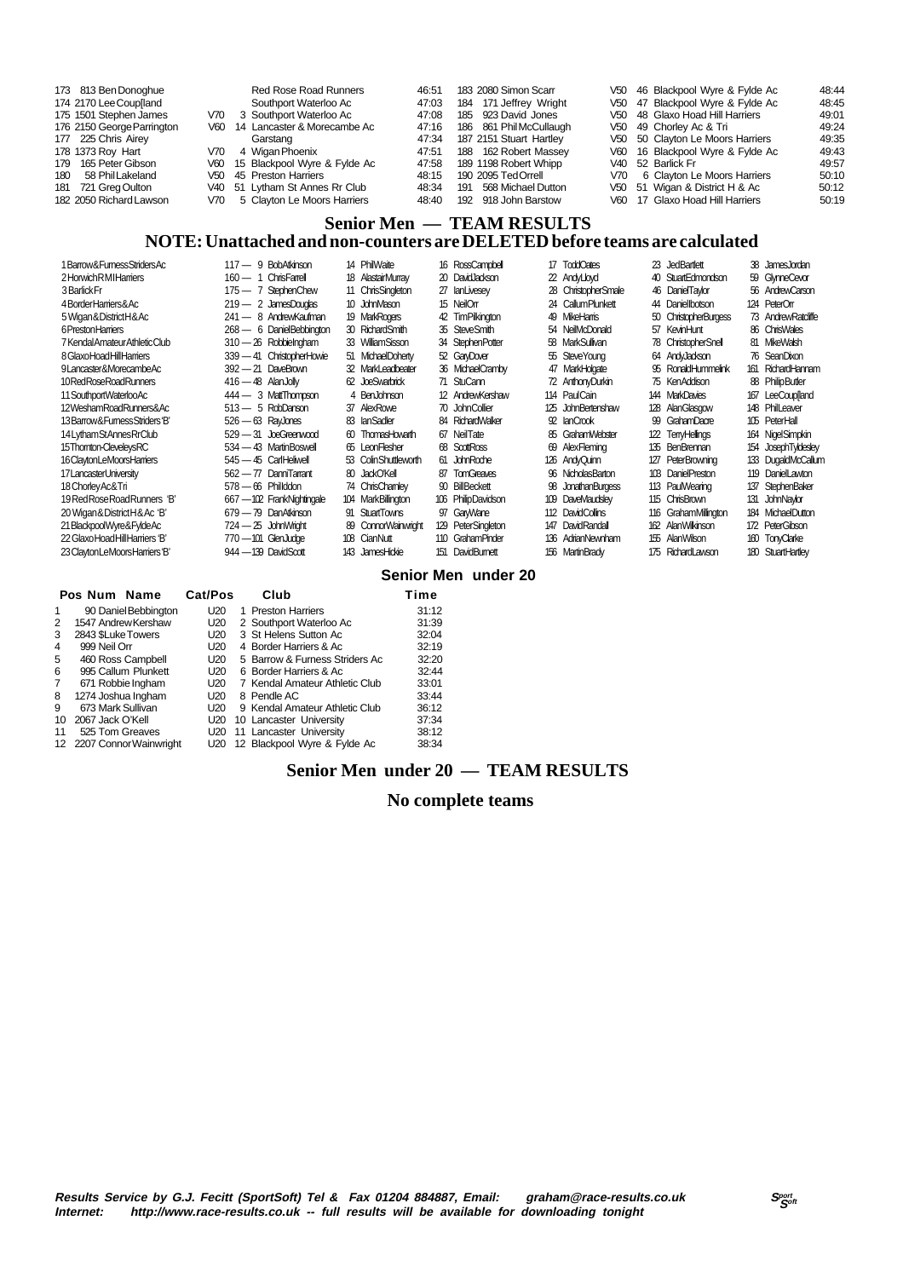| 173 813 Ben Donoghue       | <b>Red Rose Road Runners</b>     | 46:51 | 183 2080 Simon Scarr    | V50 46 Blackpool Wyre & Fylde Ac | 48:44 |
|----------------------------|----------------------------------|-------|-------------------------|----------------------------------|-------|
| 174 2170 Lee Coup[land     | Southport Waterloo Ac            | 47:03 | 184 171 Jeffrey Wright  | V50 47 Blackpool Wyre & Fylde Ac | 48:45 |
| 175 1501 Stephen James     | V70 3 Southport Waterloo Ac      | 47:08 | 185 923 David Jones     | V50 48 Glaxo Hoad Hill Harriers  | 49:01 |
| 176 2150 George Parrington | V60 14 Lancaster & Morecambe Ac  | 47:16 | 186 861 Phil McCullaugh | V50 49 Chorley Ac & Tri          | 49:24 |
| 177 225 Chris Airey        | Garstang                         | 47:34 | 187 2151 Stuart Hartley | V50 50 Clayton Le Moors Harriers | 49:35 |
| 178 1373 Roy Hart          | V70 4 Wigan Phoenix              | 47:51 | 188 162 Robert Massev   | V60 16 Blackpool Wyre & Fylde Ac | 49:43 |
| 179 165 Peter Gibson       | V60 15 Blackpool Wyre & Fylde Ac | 47:58 | 189 1198 Robert Whipp   | V40 52 Barlick Fr                | 49:57 |
| 180 58 Phil Lakeland       | V50 45 Preston Harriers          | 48:15 | 190 2095 TedOrrell      | V70 6 Clayton Le Moors Harriers  | 50:10 |
| 181 721 Greg Oulton        | V40 51 Lytham St Annes Rr Club   | 48:34 | 191 568 Michael Dutton  | V50 51 Wigan & District H & Ac   | 50:12 |
| 182 2050 Richard Lawson    | V70 5 Clayton Le Moors Harriers  | 48:40 | 192 918 John Barstow    | V60 17 Glaxo Hoad Hill Harriers  | 50:19 |

#### **Senior Men — TEAM RESULTS NOTE: Unattached and non-counters are DELETED before teams are calculated**

| 1Barrow&FumessStridersAc         | 117 - 9 BobAtkinson        | 14 PhilWaite         | 16 RossCampbell         | 17 ToddOates        | 23 JedBartlett        | 38 JamesJordan      |
|----------------------------------|----------------------------|----------------------|-------------------------|---------------------|-----------------------|---------------------|
| 2HorwichRMIHarriers              | 160 — 1 ChrisFarrell       | 18 AlastairMurray    | 20 David Jackson        | 22 AndyLloyd        | 40 StuartEdmondson    | 59 GlynneCevar      |
| 3 Barlick Fr                     | 175 - 7 StephenChew        | 11 ChrisSingleton    | 27 lanLivesey           | 28 ChristopherSmale | 46 DanielTaylor       | 56 AndrewCarson     |
| 4BorderHarriers&Ac               | $219 - 2$ JamesDouglas     | 10 JohnMason         | 15 NeilOrr              | 24 Callum Plunkett  | 44 Daniellbotson      | 124 PeterOrr        |
| 5 Wigan & District H & Ac        | 241 — 8 AndrewKaufman      | 19 MarkRogers        | 42 TimPilkinaton        | 49 MikeHamis        | 50 ChristopherBurgess | 73 Andrew Ratdiffe  |
| 6 Preston Harriers               | $268 - 6$ DanielBebbington | 30 RichardSmith      | 35 SteveSmith           | 54 NeilMcDonald     | 57 KevinHunt          | 86 ChrisWales       |
| 7 Kendal Amateur Athletic Club   | 310 - 26 Robbielngham      | 33 WilliamSisson     | 34 StephenPotter        | 58 MarkSullivan     | 78 ChristopherSnell   | 81 MikeWalsh        |
| 8 Glaxo Hoad Hill Harriers       | 339 - 41 ChristopherHowie  | 51 MichaelDoherty    | 52 GaryDover            | 55 SteveYoung       | 64 AndyJackson        | 76 SeanDixon        |
| 9Lancaster&MorecambeAc           | $392 - 21$ DaveBrown       | 32 MarkLeadbeater    | 36 MichaelCramby        | 47 MarkHolgate      | 95 RonaldHummelink    | 161 RichardHannam   |
| 10RedRoseRoadRunners             | $416 - 48$ AlanJolly       | 62 JoeSwarbrick      | 71 StuCann              | 72 AnthonyDurkin    | 75 KenAddison         | 88 PhilipButler     |
| 11 Southport Waterloo Ac         | 444 - 3 MattThompson       | 4 BenJohnson         | 12 AndrewKershaw        | 114 PaulCain        | 144 MarkDavies        | 167 LeeCouplland    |
| 12WeshamRoadRunners&Ac           | $513 - 5$ RobDanson        | 37 AlexRowe          | 70 John Collier         | 125 JohnBertenshaw  | 128 AlanGlasgow       | 148 PhilLeaver      |
| 13 Barrow & Furness Striders 'B' | $526 - 63$ RayJones        | 83 lanSadler         | 84 RichardWalker        | 92 IanCrook         | 99 GrahamDacre        | 105 PeterHall       |
| 14 Lytham StAnnes RrClub         | 529 - 31 JoeGreenwood      | 60 ThomasHowarth     | 67 NeilTate             | 85 Graham Webster   | 122 TenvHellinas      | 164 NigelSimpkin    |
| 15Thomton-CleveleysRC            | 534 - 43 Martin Boswell    | 65 LeonFlesher       | 68 ScottRoss            | 69 AlexFleming      | 135 BenBrennan        | 154 JosephTyldesley |
| 16 Clayton LeMoors Harriers      | 545 - 45 CarlHeliwell      | 53 ColinShuttleworth | 61 JohnRoche            | 126 AndyQuinn       | 127 PeterBrowning     | 133 DugaldMcCallum  |
| 17 Lancaster University          | $562 - 77$ DanniTarrant    | 80 JackO'Kell        | <b>TomGreaves</b><br>87 | 96 NicholasBarton   | 103 DanielPreston     | 119 DanielLawton    |
| 18 Chorley Ac& Tri               | $578 - 66$ Phillddon       | 74 ChrisChamley      | 90 BillBeckett          | 98 Jonathan Burgess | 113 PaulWearing       | 137 StephenBaker    |
| 19 Red Rose Road Runners 'B'     | 667 - 102 FrankNightingale | 104 MarkBillington   | 106 PhilipDavidson      | 109 DaveMaudslev    | 115 ChrisBrown        | 131 JohnNavior      |
| 20 Wigan & District H & Ac 'B'   | 679 - 79 DanAtkinson       | 91 StuartTowns       | 97 GarWane              | 112 DavidCollins    | 116 GrahamMillington  | 184 MichaelDutton   |
| 21 BlackpoolWyre&FyldeAc         | $724 - 25$ John Wright     | 89 ConnorWainwright  | 129 PeterSingleton      | 147 DavidRandall    | 162 AlanWilkinson     | 172 PeterGibson     |
| 22 GlaxoHoadHillHarriers 'B'     | 770 - 101 GlenJudge        | 108 CianNutt         | 110 Graham Pinder       | 136 AdrianNewnham   | 155 AlanWilson        | 160 TonyClarke      |
| 23 Clayton LeMoors Harriers 'B'  | 944 - 139 DavidScott       | 143 JamesHickie      | 151 DavidBumett         | 156 MartinBrady     | 175 RichardLawson     | 180 StuartHartlev   |

#### **Senior Men under 20**

|                      |                 |                           | Club    | Time                                                                                                                                                                                                                                                                                                                                  |
|----------------------|-----------------|---------------------------|---------|---------------------------------------------------------------------------------------------------------------------------------------------------------------------------------------------------------------------------------------------------------------------------------------------------------------------------------------|
| 90 Daniel Bebbington | U20             |                           |         | 31:12                                                                                                                                                                                                                                                                                                                                 |
| 1547 Andrew Kershaw  | U20             |                           |         | 31:39                                                                                                                                                                                                                                                                                                                                 |
| 2843 \$Luke Towers   | U20             |                           |         | 32:04                                                                                                                                                                                                                                                                                                                                 |
| 999 Neil Orr         | U20             |                           |         | 32:19                                                                                                                                                                                                                                                                                                                                 |
| 460 Ross Campbell    | U20             |                           |         | 32:20                                                                                                                                                                                                                                                                                                                                 |
| 995 Callum Plunkett  | U <sub>20</sub> |                           |         | 32:44                                                                                                                                                                                                                                                                                                                                 |
| 671 Robbie Ingham    | U <sub>20</sub> |                           |         | 33:01                                                                                                                                                                                                                                                                                                                                 |
| 1274 Joshua Ingham   | U20             |                           |         | 33:44                                                                                                                                                                                                                                                                                                                                 |
| 673 Mark Sullivan    | U <sub>20</sub> |                           |         | 36:12                                                                                                                                                                                                                                                                                                                                 |
| 2067 Jack O'Kell     | U20             |                           |         | 37:34                                                                                                                                                                                                                                                                                                                                 |
| 525 Tom Greaves      | U20             |                           |         | 38:12                                                                                                                                                                                                                                                                                                                                 |
|                      | U20             |                           |         | 38:34                                                                                                                                                                                                                                                                                                                                 |
|                      | Pos Num Name    | 12 2207 Connor Wainwright | Cat/Pos | 1 Preston Harriers<br>2 Southport Waterloo Ac<br>3 St Helens Sutton Ac<br>4 Border Harriers & Ac<br>5 Barrow & Furness Striders Ac<br>6 Border Harriers & Ac<br>7 Kendal Amateur Athletic Club<br>8 Pendle AC<br>9 Kendal Amateur Athletic Club<br>10 Lancaster University<br>11 Lancaster University<br>12 Blackpool Wyre & Fylde Ac |

#### **Senior Men under 20 — TEAM RESULTS**

#### **No complete teams**